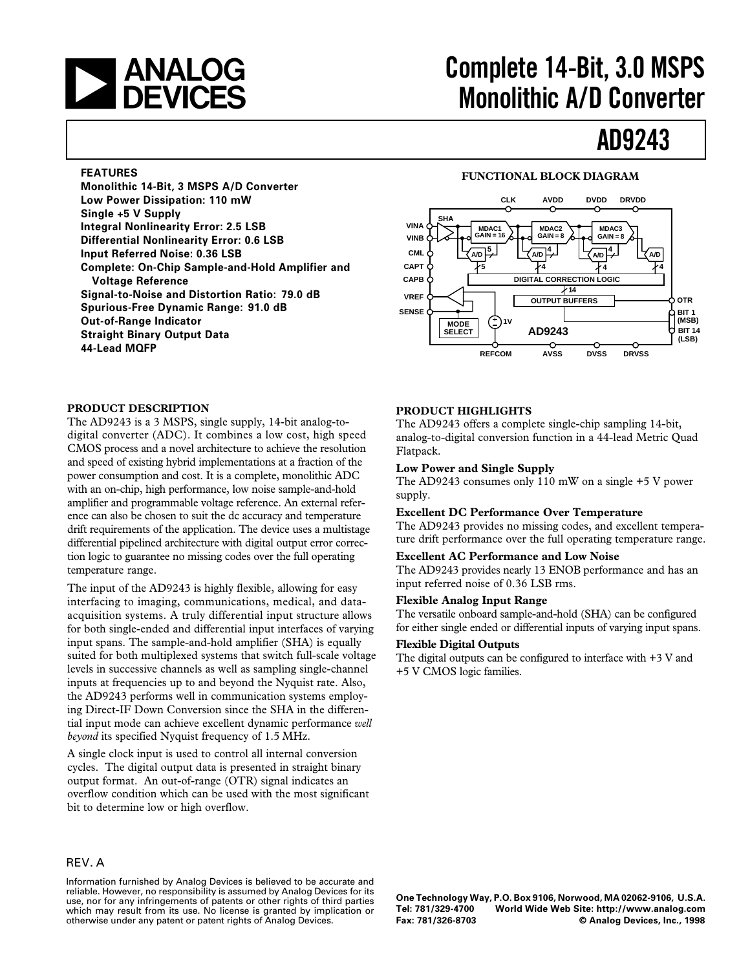## **and Complete 14-Bit, 3.0 MSPS**<br> **Complete 14-Bit, 3.0 MSPS**<br> **Converter Monolithic A/D Converter**

## **AD9243**

#### **FEATURES**

**Monolithic 14-Bit, 3 MSPS A/D Converter Low Power Dissipation: 110 mW Single +5 V Supply Integral Nonlinearity Error: 2.5 LSB Differential Nonlinearity Error: 0.6 LSB Input Referred Noise: 0.36 LSB Complete: On-Chip Sample-and-Hold Amplifier and Voltage Reference Signal-to-Noise and Distortion Ratio: 79.0 dB Spurious-Free Dynamic Range: 91.0 dB Out-of-Range Indicator Straight Binary Output Data 44-Lead MQFP**

#### **FUNCTIONAL BLOCK DIAGRAM**



#### **PRODUCT DESCRIPTION**

The AD9243 is a 3 MSPS, single supply, 14-bit analog-todigital converter (ADC). It combines a low cost, high speed CMOS process and a novel architecture to achieve the resolution and speed of existing hybrid implementations at a fraction of the power consumption and cost. It is a complete, monolithic ADC with an on-chip, high performance, low noise sample-and-hold amplifier and programmable voltage reference. An external reference can also be chosen to suit the dc accuracy and temperature drift requirements of the application. The device uses a multistage differential pipelined architecture with digital output error correction logic to guarantee no missing codes over the full operating temperature range.

The input of the AD9243 is highly flexible, allowing for easy interfacing to imaging, communications, medical, and dataacquisition systems. A truly differential input structure allows for both single-ended and differential input interfaces of varying input spans. The sample-and-hold amplifier (SHA) is equally suited for both multiplexed systems that switch full-scale voltage levels in successive channels as well as sampling single-channel inputs at frequencies up to and beyond the Nyquist rate. Also, the AD9243 performs well in communication systems employing Direct-IF Down Conversion since the SHA in the differential input mode can achieve excellent dynamic performance *well beyond* its specified Nyquist frequency of 1.5 MHz.

A single clock input is used to control all internal conversion cycles. The digital output data is presented in straight binary output format. An out-of-range (OTR) signal indicates an overflow condition which can be used with the most significant bit to determine low or high overflow.

#### REV. A

Information furnished by Analog Devices is believed to be accurate and reliable. However, no responsibility is assumed by Analog Devices for its use, nor for any infringements of patents or other rights of third parties which may result from its use. No license is granted by implication or otherwise under any patent or patent rights of Analog Devices.

#### **PRODUCT HIGHLIGHTS**

The AD9243 offers a complete single-chip sampling 14-bit, analog-to-digital conversion function in a 44-lead Metric Quad Flatpack.

#### **Low Power and Single Supply**

The AD9243 consumes only 110 mW on a single +5 V power supply.

#### **Excellent DC Performance Over Temperature**

The AD9243 provides no missing codes, and excellent temperature drift performance over the full operating temperature range.

#### **Excellent AC Performance and Low Noise**

The AD9243 provides nearly 13 ENOB performance and has an input referred noise of 0.36 LSB rms.

#### **Flexible Analog Input Range**

The versatile onboard sample-and-hold (SHA) can be configured for either single ended or differential inputs of varying input spans.

#### **Flexible Digital Outputs**

The digital outputs can be configured to interface with +3 V and +5 V CMOS logic families.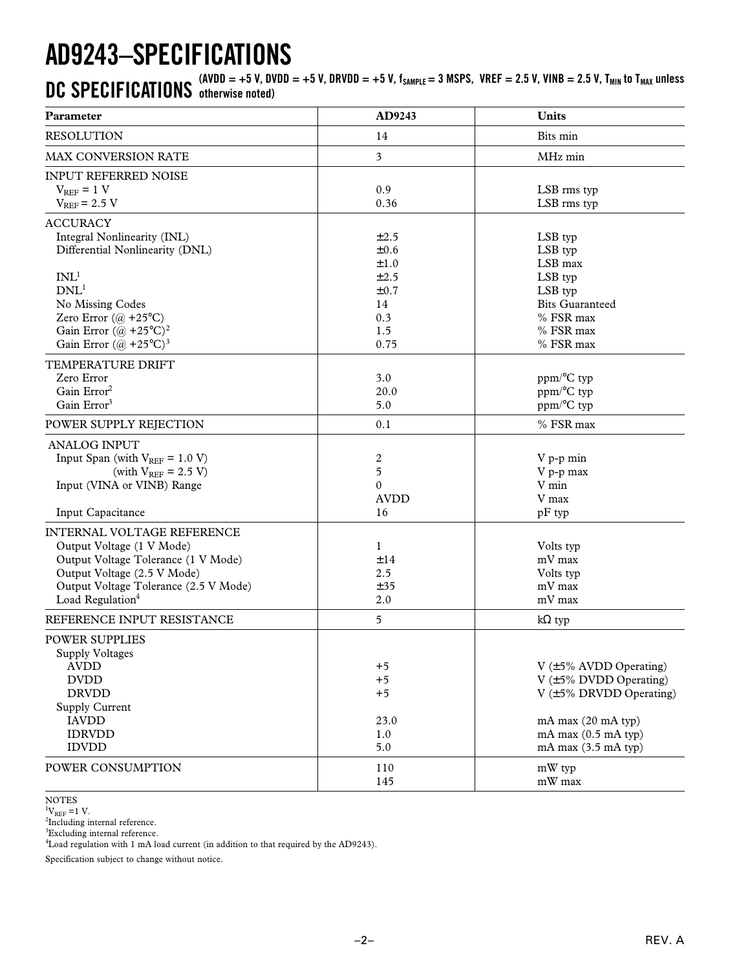## **AD9243–SPECIFICATIONS**

 $\bf{DC}$   $\bf{SPECIFICATIONS}$  (AVDD = +5 V, DVDD = +5 V, DRVDD = +5 V, f<sub>SAMPLE</sub> = 3 MSPS, VREF = 2.5 V, VINB = 2.5 V, T<sub>MIN</sub> to T<sub>MAX</sub> unless **otherwise noted)**

| Parameter                                                                                                                                                                                                                                                           | AD9243                                                           | Units                                                                                                                                                                                   |
|---------------------------------------------------------------------------------------------------------------------------------------------------------------------------------------------------------------------------------------------------------------------|------------------------------------------------------------------|-----------------------------------------------------------------------------------------------------------------------------------------------------------------------------------------|
| <b>RESOLUTION</b>                                                                                                                                                                                                                                                   | 14                                                               | Bits min                                                                                                                                                                                |
| MAX CONVERSION RATE                                                                                                                                                                                                                                                 | 3                                                                | MHz min                                                                                                                                                                                 |
| <b>INPUT REFERRED NOISE</b><br>$V_{REF} = 1 V$<br>$V_{REF}$ = 2.5 V                                                                                                                                                                                                 | 0.9<br>0.36                                                      | LSB rms typ<br>LSB rms typ                                                                                                                                                              |
| <b>ACCURACY</b><br>Integral Nonlinearity (INL)<br>Differential Nonlinearity (DNL)<br>INL <sup>1</sup><br>DNL <sup>1</sup><br>No Missing Codes<br>Zero Error $(\omega + 25^{\circ}C)$<br>Gain Error $(\omega + 25^{\circ}C)^2$<br>Gain Error $((a) + 25^{\circ}C)^3$ | ±2.5<br>±0.6<br>±1.0<br>±2.5<br>±0.7<br>14<br>0.3<br>1.5<br>0.75 | LSB typ<br>LSB typ<br>LSB max<br>LSB typ<br>LSB typ<br><b>Bits Guaranteed</b><br>% FSR max<br>% FSR max<br>% FSR max                                                                    |
| TEMPERATURE DRIFT<br>Zero Error<br>Gain Error <sup>2</sup><br>Gain Error <sup>3</sup>                                                                                                                                                                               | 3.0<br>20.0<br>5.0                                               | ppm/°C typ<br>ppm/°C typ<br>ppm/°C typ                                                                                                                                                  |
| POWER SUPPLY REJECTION                                                                                                                                                                                                                                              | 0.1                                                              | % FSR max                                                                                                                                                                               |
| <b>ANALOG INPUT</b><br>Input Span (with $V_{REF} = 1.0 V$ )<br>(with $V_{REF}$ = 2.5 V)<br>Input (VINA or VINB) Range<br>Input Capacitance                                                                                                                          | $\boldsymbol{2}$<br>5<br>$\mathbf{0}$<br><b>AVDD</b><br>16       | V p-p min<br>V p-p max<br>V min<br>V max<br>$pF$ typ                                                                                                                                    |
| INTERNAL VOLTAGE REFERENCE<br>Output Voltage (1 V Mode)<br>Output Voltage Tolerance (1 V Mode)<br>Output Voltage (2.5 V Mode)<br>Output Voltage Tolerance (2.5 V Mode)<br>Load Regulation <sup>4</sup><br>REFERENCE INPUT RESISTANCE                                | 1<br>±14<br>2.5<br>±35<br>2.0<br>5                               | Volts typ<br>mV max<br>Volts typ<br>mV max<br>mV max                                                                                                                                    |
|                                                                                                                                                                                                                                                                     |                                                                  | $k\Omega$ typ                                                                                                                                                                           |
| <b>POWER SUPPLIES</b><br><b>Supply Voltages</b><br><b>AVDD</b><br><b>DVDD</b><br><b>DRVDD</b><br>Supply Current<br><b>IAVDD</b><br><b>IDRVDD</b><br><b>IDVDD</b>                                                                                                    | $+5$<br>$+5$<br>$+5$<br>23.0<br>1.0<br>5.0                       | V $(\pm 5\%$ AVDD Operating)<br>$V$ ( $\pm$ 5% DVDD Operating)<br>$V$ ( $\pm$ 5% DRVDD Operating)<br>$mA$ max $(20$ mA typ)<br>$mA$ max $(0.5$ mA typ)<br>mA max $(3.5 \text{ mA typ})$ |
| POWER CONSUMPTION                                                                                                                                                                                                                                                   | 110<br>145                                                       | mW typ<br>mW max                                                                                                                                                                        |

NOTES

 ${}^{1}V_{REF}$  =1 V.<br><sup>2</sup>Including internal reference.

<sup>3</sup>Excluding internal reference.

<sup>4</sup>Load regulation with 1 mA load current (in addition to that required by the AD9243).

Specification subject to change without notice.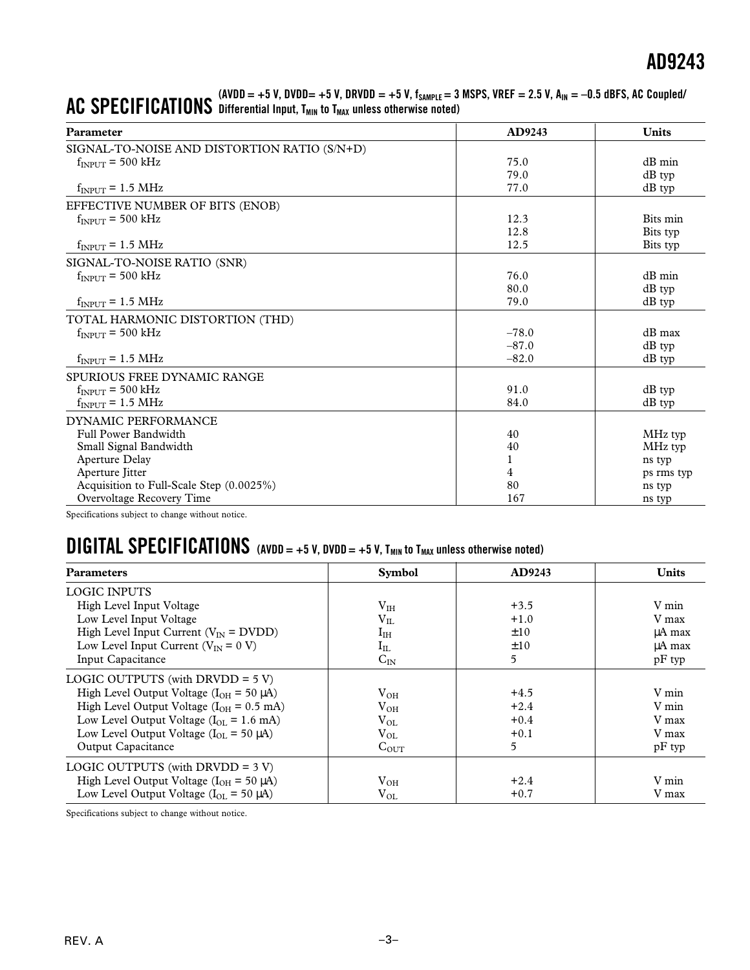| <b>Parameter</b>                             | AD9243  | <b>Units</b> |
|----------------------------------------------|---------|--------------|
| SIGNAL-TO-NOISE AND DISTORTION RATIO (S/N+D) |         |              |
| $f_{\text{INPIIT}}$ = 500 kHz                | 75.0    | $dB$ min     |
|                                              | 79.0    | dB typ       |
| $f_{INPUT} = 1.5 \text{ MHz}$                | 77.0    | $dB$ typ     |
| EFFECTIVE NUMBER OF BITS (ENOB)              |         |              |
| $f_{\text{INPIIT}}$ = 500 kHz                | 12.3    | Bits min     |
|                                              | 12.8    | Bits typ     |
| $f_{INPUT} = 1.5 \text{ MHz}$                | 12.5    | Bits typ     |
| SIGNAL-TO-NOISE RATIO (SNR)                  |         |              |
| $f_{\text{INPIIT}}$ = 500 kHz                | 76.0    | $dB$ min     |
|                                              | 80.0    | dB typ       |
| $f_{INPUT} = 1.5 \text{ MHz}$                | 79.0    | $dB$ typ     |
| TOTAL HARMONIC DISTORTION (THD)              |         |              |
| $f_{\text{INPIIT}}$ = 500 kHz                | $-78.0$ | $dB$ max     |
|                                              | $-87.0$ | $dB$ typ     |
| $f_{INPUT} = 1.5 \text{ MHz}$                | $-82.0$ | $dB$ typ     |
| SPURIOUS FREE DYNAMIC RANGE                  |         |              |
| $f_{\text{INPIIT}} = 500 \text{ kHz}$        | 91.0    | dB typ       |
| $f_{INPUT} = 1.5 \text{ MHz}$                | 84.0    | dB typ       |
| DYNAMIC PERFORMANCE                          |         |              |
| Full Power Bandwidth                         | 40      | MHz typ      |
| Small Signal Bandwidth                       | 40      | MHz typ      |
| Aperture Delay                               | 1       | ns typ       |
| Aperture Jitter                              | 4       | ps rms typ   |
| Acquisition to Full-Scale Step (0.0025%)     | 80      | ns typ       |
| Overvoltage Recovery Time                    | 167     | ns typ       |

#### **AC SPECIFICATIONS (AVDD = +5 V, DVDD= +5 V, DRVDD = +5 V, fSAMPLE = 3 MSPS, VREF = 2.5 V, AIN = –0.5 dBFS, AC Coupled/** Differential Input, T<sub>MIN</sub> to T<sub>MAX</sub> unless otherwise noted)

Specifications subject to change without notice.

### **DIGITAL SPECIFICATIONS** (AVDD = +5 V, DVDD = +5 V, T<sub>MIN</sub> to T<sub>MAX</sub> unless otherwise noted)

| <b>Parameters</b>                                        | <b>Symbol</b> | AD9243   | <b>Units</b> |
|----------------------------------------------------------|---------------|----------|--------------|
| <b>LOGIC INPUTS</b>                                      |               |          |              |
| High Level Input Voltage                                 | $\rm V_{IH}$  | $+3.5$   | V min        |
| Low Level Input Voltage                                  | $V_{IL}$      | $+1.0$   | V max        |
| High Level Input Current ( $V_{\text{IN}}$ = DVDD)       | $I_{IH}$      | $\pm 10$ | uA max       |
| Low Level Input Current ( $V_{IN} = 0 V$ )               | $\rm I_{IL}$  | $\pm 10$ | uA max       |
| Input Capacitance                                        | $C_{IN}$      | 5        | $pF$ typ     |
| LOGIC OUTPUTS (with DRVDD = $5 V$ )                      |               |          |              |
| High Level Output Voltage ( $I_{OH}$ = 50 µA)            | $V_{OH}$      | $+4.5$   | V min        |
| High Level Output Voltage ( $I_{OH} = 0.5$ mA)           | $V_{OH}$      | $+2.4$   | V min        |
| Low Level Output Voltage ( $I_{OL}$ = 1.6 mA)            | $\rm V_{OL}$  | $+0.4$   | V max        |
| Low Level Output Voltage $(I_{OL} = 50 \mu A)$           | $V_{OL}$      | $+0.1$   | V max        |
| Output Capacitance                                       | $C_{OUT}$     | 5        | $pF$ typ     |
| LOGIC OUTPUTS (with DRVDD = $3 V$ )                      |               |          |              |
| High Level Output Voltage ( $I_{OH}$ = 50 µA)            | $V_{OH}$      | $+2.4$   | V min        |
| Low Level Output Voltage ( $I_{\text{OL}}$ = 50 $\mu$ A) | $\rm V_{OL}$  | $+0.7$   | V max        |

Specifications subject to change without notice.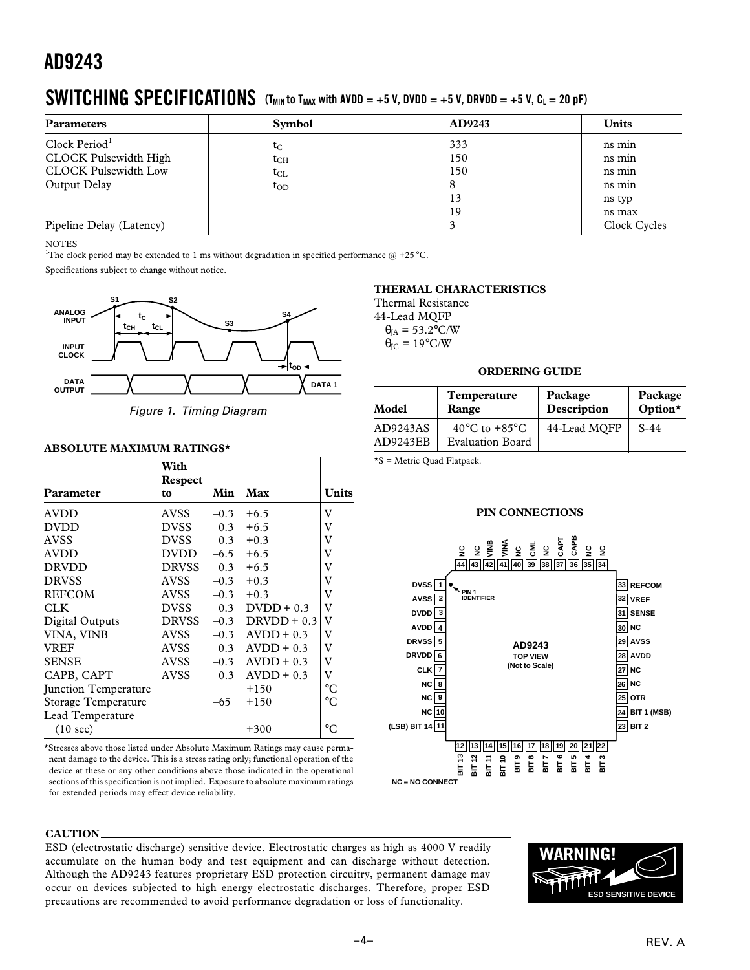### **SWITCHING SPECIFICATIONS** (T<sub>MIN</sub> to T<sub>MAX</sub> with AVDD = +5 V, DVDD = +5 V, DRVDD = +5 V, C<sub>L</sub> = 20 pF)

| <b>Parameters</b>            | <b>Symbol</b>                | AD9243 | <b>Units</b> |
|------------------------------|------------------------------|--------|--------------|
| Clock Period <sup>1</sup>    | $\mathfrak{r}_{\mathrm{C}}$  | 333    | ns min       |
| <b>CLOCK Pulsewidth High</b> | $\mathfrak{t}_{\rm CH}$      | 150    | ns min       |
| <b>CLOCK Pulsewidth Low</b>  | $\mathfrak{t}_{\mathrm{CL}}$ | 150    | ns min       |
| Output Delay                 | $t_{OD}$                     |        | ns min       |
|                              |                              | 13     | ns typ       |
|                              |                              | 19     | ns max       |
| Pipeline Delay (Latency)     |                              |        | Clock Cycles |

**NOTES** 

<sup>1</sup>The clock period may be extended to 1 ms without degradation in specified performance  $\omega$  +25 °C.

Specifications subject to change without notice.



Figure 1. Timing Diagram

#### **ABSOLUTE MAXIMUM RATINGS\***

|                      | With<br>Respect |        |               |                         |
|----------------------|-----------------|--------|---------------|-------------------------|
| Parameter            | to              | Min    | Max           | <b>Units</b>            |
| <b>AVDD</b>          | <b>AVSS</b>     | $-0.3$ | $+6.5$        | V                       |
| <b>DVDD</b>          | <b>DVSS</b>     | $-0.3$ | $+6.5$        | V                       |
| <b>AVSS</b>          | <b>DVSS</b>     | $-0.3$ | $+0.3$        | V                       |
| <b>AVDD</b>          | DVDD.           | $-6.5$ | $+6.5$        | V                       |
| <b>DRVDD</b>         | <b>DRVSS</b>    | $-0.3$ | $+6.5$        | V                       |
| <b>DRVSS</b>         | <b>AVSS</b>     | $-0.3$ | $+0.3$        | V                       |
| <b>REFCOM</b>        | <b>AVSS</b>     | $-0.3$ | $+0.3$        | V                       |
| <b>CLK</b>           | <b>DVSS</b>     | $-0.3$ | $D VDD + 0.3$ | $\rm V$                 |
| Digital Outputs      | <b>DRVSS</b>    | $-0.3$ | $DRVDD + 0.3$ | $\overline{\mathbf{V}}$ |
| VINA, VINB           | <b>AVSS</b>     | $-0.3$ | $AVDD + 0.3$  | V                       |
| <b>VREF</b>          | <b>AVSS</b>     | $-0.3$ | $AVDD + 0.3$  | V                       |
| <b>SENSE</b>         | <b>AVSS</b>     | $-0.3$ | $AVDD + 0.3$  | V                       |
| CAPB, CAPT           | <b>AVSS</b>     | $-0.3$ | $AVDD + 0.3$  | V                       |
| Junction Temperature |                 |        | $+150$        | $^{\circ}C$             |
| Storage Temperature  |                 | $-65$  | $+150$        | $\rm ^{\circ}C$         |
| Lead Temperature     |                 |        |               |                         |
| $(10 \text{ sec})$   |                 |        | $+300$        | $\rm ^{\circ}C$         |

\*Stresses above those listed under Absolute Maximum Ratings may cause permanent damage to the device. This is a stress rating only; functional operation of the device at these or any other conditions above those indicated in the operational sections of this specification is not implied. Exposure to absolute maximum ratings for extended periods may effect device reliability.

#### **THERMAL CHARACTERISTICS**

Thermal Resistance 44-Lead MQFP  $\theta_{IA} = 53.2$ °C/W  $\theta_{\text{IC}} = 19^{\circ}\text{C/W}$ 

#### **ORDERING GUIDE**

| Model                | <b>Temperature</b>                                            | Package      | Package |
|----------------------|---------------------------------------------------------------|--------------|---------|
|                      | Range                                                         | Description  | Option* |
| AD9243AS<br>AD9243EB | $-40^{\circ}$ C to $+85^{\circ}$ C<br><b>Evaluation Board</b> | 44-Lead MOFP | $S-44$  |

\*S = Metric Quad Flatpack.

#### **PIN CONNECTIONS**



#### **CAUTION**

ESD (electrostatic discharge) sensitive device. Electrostatic charges as high as 4000 V readily accumulate on the human body and test equipment and can discharge without detection. Although the AD9243 features proprietary ESD protection circuitry, permanent damage may occur on devices subjected to high energy electrostatic discharges. Therefore, proper ESD precautions are recommended to avoid performance degradation or loss of functionality.

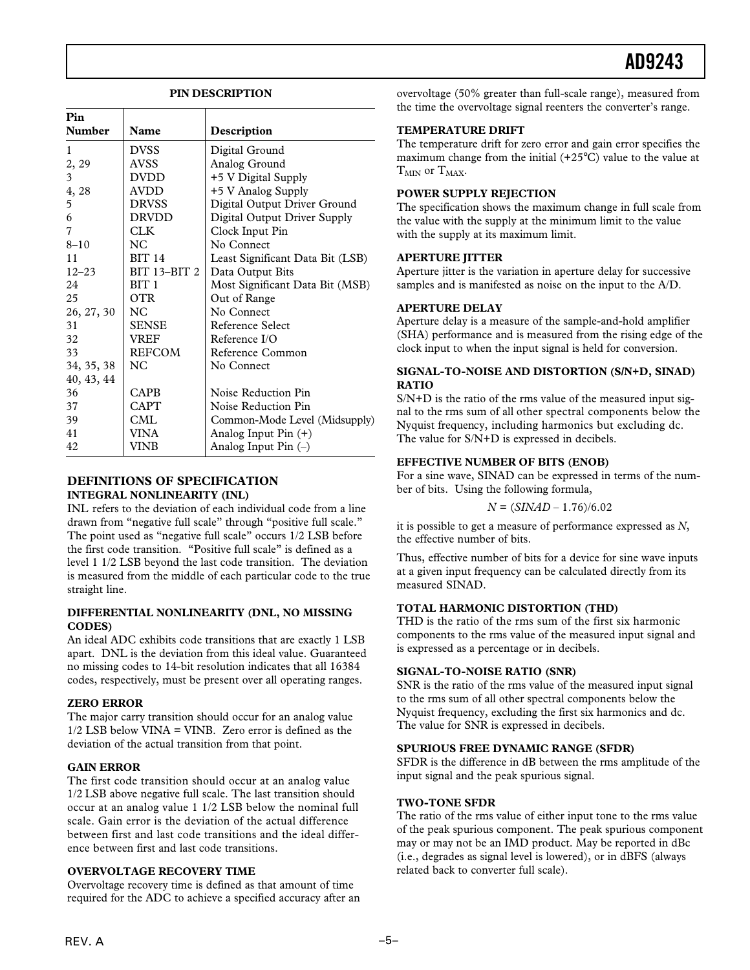#### **PIN DESCRIPTION**

| Pin           |                  |                                  |
|---------------|------------------|----------------------------------|
| <b>Number</b> | Name             | Description                      |
| 1             | <b>DVSS</b>      | Digital Ground                   |
| 2, 29         | <b>AVSS</b>      | Analog Ground                    |
| 3             | <b>DVDD</b>      | +5 V Digital Supply              |
| 4, 28         | AVDD             | +5 V Analog Supply               |
| 5             | <b>DRVSS</b>     | Digital Output Driver Ground     |
| 6             | DRVDD            | Digital Output Driver Supply     |
| 7             | CLK              | Clock Input Pin                  |
| $8 - 10$      | NC.              | No Connect                       |
| 11            | <b>BIT 14</b>    | Least Significant Data Bit (LSB) |
| $12 - 23$     | BIT 13-BIT 2     | Data Output Bits                 |
| 24            | BIT <sub>1</sub> | Most Significant Data Bit (MSB)  |
| 25            | OTR              | Out of Range                     |
| 26, 27, 30    | NC.              | No Connect                       |
| 31            | <b>SENSE</b>     | Reference Select                 |
| 32            | <b>VREF</b>      | Reference $I/O$                  |
| 33            | <b>REFCOM</b>    | Reference Common                 |
| 34, 35, 38    | NC.              | No Connect                       |
| 40, 43, 44    |                  |                                  |
| 36            | <b>CAPB</b>      | Noise Reduction Pin              |
| 37            | CAPT             | Noise Reduction Pin              |
| 39            | CML              | Common-Mode Level (Midsupply)    |
| 41            | VINA             | Analog Input Pin (+)             |
| 42            | VINB             | Analog Input Pin $(-)$           |

#### **DEFINITIONS OF SPECIFICATION INTEGRAL NONLINEARITY (INL)**

INL refers to the deviation of each individual code from a line drawn from "negative full scale" through "positive full scale." The point used as "negative full scale" occurs 1/2 LSB before the first code transition. "Positive full scale" is defined as a level 1 1/2 LSB beyond the last code transition. The deviation is measured from the middle of each particular code to the true straight line.

#### **DIFFERENTIAL NONLINEARITY (DNL, NO MISSING CODES)**

An ideal ADC exhibits code transitions that are exactly 1 LSB apart. DNL is the deviation from this ideal value. Guaranteed no missing codes to 14-bit resolution indicates that all 16384 codes, respectively, must be present over all operating ranges.

#### **ZERO ERROR**

The major carry transition should occur for an analog value  $1/2$  LSB below VINA = VINB. Zero error is defined as the deviation of the actual transition from that point.

#### **GAIN ERROR**

The first code transition should occur at an analog value 1/2 LSB above negative full scale. The last transition should occur at an analog value 1 1/2 LSB below the nominal full scale. Gain error is the deviation of the actual difference between first and last code transitions and the ideal difference between first and last code transitions.

#### **OVERVOLTAGE RECOVERY TIME**

Overvoltage recovery time is defined as that amount of time required for the ADC to achieve a specified accuracy after an overvoltage (50% greater than full-scale range), measured from the time the overvoltage signal reenters the converter's range.

#### **TEMPERATURE DRIFT**

The temperature drift for zero error and gain error specifies the maximum change from the initial  $(+25^{\circ}C)$  value to the value at  $T<sub>MIN</sub>$  or  $T<sub>MAX</sub>$ .

#### **POWER SUPPLY REJECTION**

The specification shows the maximum change in full scale from the value with the supply at the minimum limit to the value with the supply at its maximum limit.

#### **APERTURE JITTER**

Aperture jitter is the variation in aperture delay for successive samples and is manifested as noise on the input to the A/D.

#### **APERTURE DELAY**

Aperture delay is a measure of the sample-and-hold amplifier (SHA) performance and is measured from the rising edge of the clock input to when the input signal is held for conversion.

#### **SIGNAL-TO-NOISE AND DISTORTION (S/N+D, SINAD) RATIO**

S/N+D is the ratio of the rms value of the measured input signal to the rms sum of all other spectral components below the Nyquist frequency, including harmonics but excluding dc. The value for S/N+D is expressed in decibels.

#### **EFFECTIVE NUMBER OF BITS (ENOB)**

For a sine wave, SINAD can be expressed in terms of the number of bits. Using the following formula,

$$
N = (SIMAD - 1.76)/6.02
$$

it is possible to get a measure of performance expressed as *N*, the effective number of bits.

Thus, effective number of bits for a device for sine wave inputs at a given input frequency can be calculated directly from its measured SINAD.

#### **TOTAL HARMONIC DISTORTION (THD)**

THD is the ratio of the rms sum of the first six harmonic components to the rms value of the measured input signal and is expressed as a percentage or in decibels.

#### **SIGNAL-TO-NOISE RATIO (SNR)**

SNR is the ratio of the rms value of the measured input signal to the rms sum of all other spectral components below the Nyquist frequency, excluding the first six harmonics and dc. The value for SNR is expressed in decibels.

#### **SPURIOUS FREE DYNAMIC RANGE (SFDR)**

SFDR is the difference in dB between the rms amplitude of the input signal and the peak spurious signal.

#### **TWO-TONE SFDR**

The ratio of the rms value of either input tone to the rms value of the peak spurious component. The peak spurious component may or may not be an IMD product. May be reported in dBc (i.e., degrades as signal level is lowered), or in dBFS (always related back to converter full scale).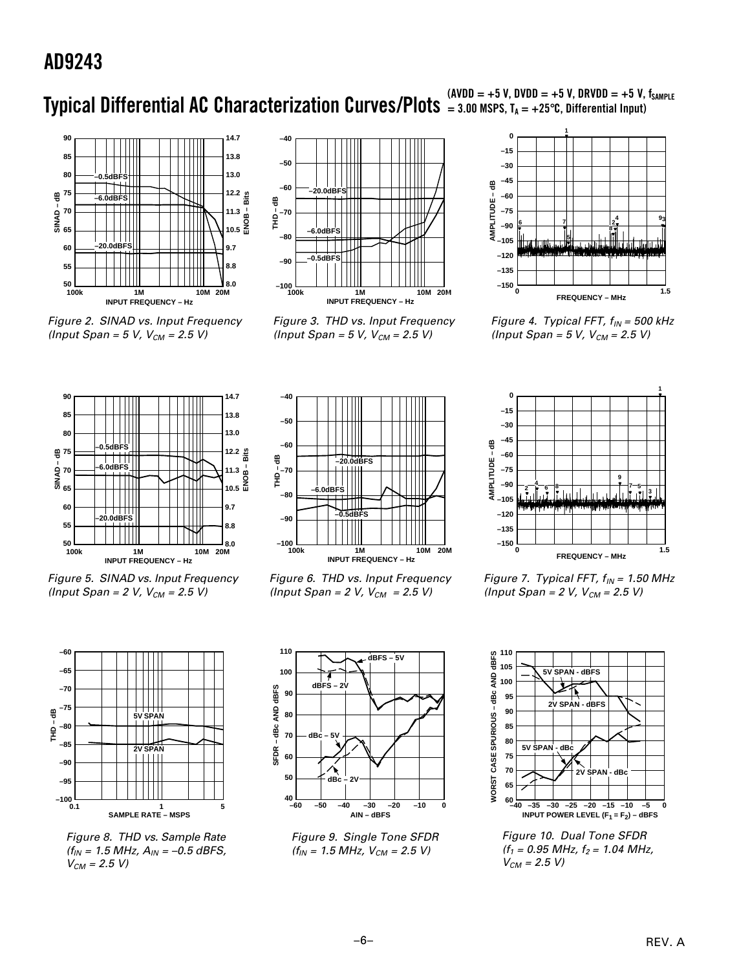## **Typical Differential AC Characterization Curves/Plots** = 3.00 MSPS, T<sub>A</sub> = +25 °C, Differential Input)



Figure 2. SINAD vs. Input Frequency (Input Span =  $5 V$ ,  $V_{CM} = 2.5 V$ )



Figure 3. THD vs. Input Frequency (Input Span =  $5 V$ ,  $V_{CM} = 2.5 V$ )



Figure 4. Typical FFT,  $f_{IN} = 500$  kHz (Input Span =  $5 V$ ,  $V_{CM} = 2.5 V$ )



Figure 5. SINAD vs. Input Frequency (Input Span =  $2 V$ ,  $V_{CM} = 2.5 V$ )



Figure 8. THD vs. Sample Rate  $(f_{IN} = 1.5 \text{ MHz}, A_{IN} = -0.5 \text{ dBFS},$  $V_{CM} = 2.5 V$ 



Figure 6. THD vs. Input Frequency (Input Span =  $2 V, V_{CM} = 2.5 V$ )



Figure 9. Single Tone SFDR  $(f_{IN} = 1.5 MHz, V_{CM} = 2.5 V)$ 



Figure 7. Typical FFT,  $f_{IN} = 1.50$  MHz (Input Span =  $2 V$ ,  $V_{CM} = 2.5 V$ )



Figure 10. Dual Tone SFDR  $(f_1 = 0.95 \text{ MHz}, f_2 = 1.04 \text{ MHz},$  $V_{CM} = 2.5 V$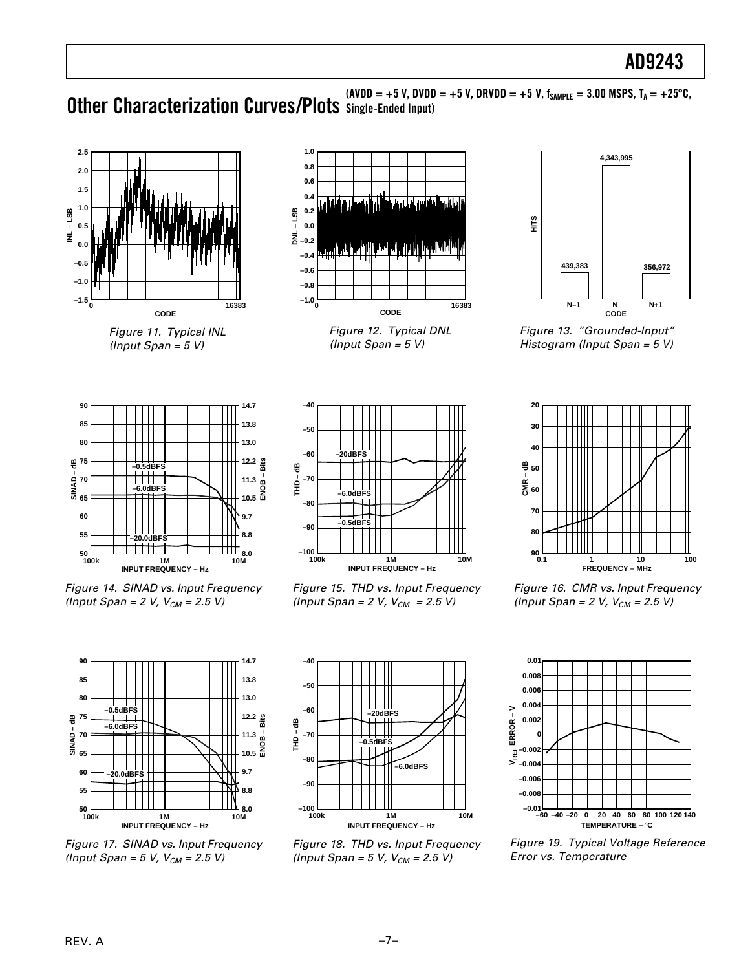(AVDD = +5 V, DVDD = +5 V, DRVDD = +5 V, f<sub>SAMPLE</sub> = 3.00 MSPS, T<sub>A</sub> = +25°C,<br> **Other Characterization Curves/Plots** Single-Ended Input)



Figure 11. Typical INL (Input Span =  $5 V$ )



Figure 12. Typical DNL (Input Span =  $5 V$ )



Figure 14. SINAD vs. Input Frequency (Input Span = 2 V,  $V_{CM}$  = 2.5 V)



Figure 15. THD vs. Input Frequency (Input Span = 2 V,  $V_{CM}$  = 2.5 V)



Figure 13. "Grounded-Input" Histogram (Input Span = 5 V)



Figure 16. CMR vs. Input Frequency (Input Span = 2 V,  $V_{CM}$  = 2.5 V)



Figure 17. SINAD vs. Input Frequency (Input Span = 5 V,  $V_{CM}$  = 2.5 V)



Figure 18. THD vs. Input Frequency (Input Span = 5 V,  $V_{CM}$  = 2.5 V)



Figure 19. Typical Voltage Reference Error vs. Temperature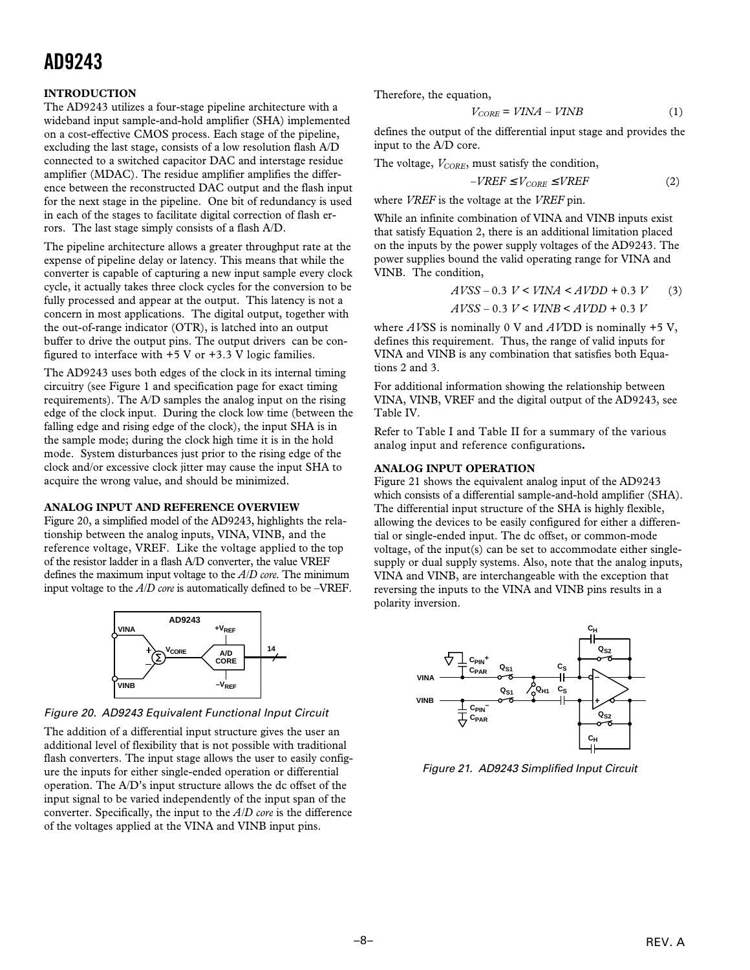#### **INTRODUCTION**

The AD9243 utilizes a four-stage pipeline architecture with a wideband input sample-and-hold amplifier (SHA) implemented on a cost-effective CMOS process. Each stage of the pipeline, excluding the last stage, consists of a low resolution flash A/D connected to a switched capacitor DAC and interstage residue amplifier (MDAC). The residue amplifier amplifies the difference between the reconstructed DAC output and the flash input for the next stage in the pipeline. One bit of redundancy is used in each of the stages to facilitate digital correction of flash errors. The last stage simply consists of a flash A/D.

The pipeline architecture allows a greater throughput rate at the expense of pipeline delay or latency. This means that while the converter is capable of capturing a new input sample every clock cycle, it actually takes three clock cycles for the conversion to be fully processed and appear at the output. This latency is not a concern in most applications. The digital output, together with the out-of-range indicator (OTR), is latched into an output buffer to drive the output pins. The output drivers can be configured to interface with  $+5$  V or  $+3.3$  V logic families.

The AD9243 uses both edges of the clock in its internal timing circuitry (see Figure 1 and specification page for exact timing requirements). The A/D samples the analog input on the rising edge of the clock input. During the clock low time (between the falling edge and rising edge of the clock), the input SHA is in the sample mode; during the clock high time it is in the hold mode. System disturbances just prior to the rising edge of the clock and/or excessive clock jitter may cause the input SHA to acquire the wrong value, and should be minimized.

#### **ANALOG INPUT AND REFERENCE OVERVIEW**

Figure 20, a simplified model of the AD9243, highlights the relationship between the analog inputs, VINA, VINB, and the reference voltage, VREF. Like the voltage applied to the top of the resistor ladder in a flash A/D converter, the value VREF defines the maximum input voltage to the *A/D core*. The minimum input voltage to the *A/D core* is automatically defined to be –VREF.



Figure 20. AD9243 Equivalent Functional Input Circuit

The addition of a differential input structure gives the user an additional level of flexibility that is not possible with traditional flash converters. The input stage allows the user to easily configure the inputs for either single-ended operation or differential operation. The A/D's input structure allows the dc offset of the input signal to be varied independently of the input span of the converter. Specifically, the input to the *A/D core* is the difference of the voltages applied at the VINA and VINB input pins.

Therefore, the equation,

$$
V_{CORE} = VINA - VINB \tag{1}
$$

defines the output of the differential input stage and provides the input to the A/D core.

The voltage,  $V_{CORE}$ , must satisfy the condition,

$$
-VREF \leq V_{CORE} \leq VREF
$$
 (2)

where *VREF* is the voltage at the *VREF* pin.

While an infinite combination of VINA and VINB inputs exist that satisfy Equation 2, there is an additional limitation placed on the inputs by the power supply voltages of the AD9243. The power supplies bound the valid operating range for VINA and VINB. The condition,

$$
AVSS - 0.3 \ V < VINA < AVDD + 0.3 \ V \tag{3}
$$
\n
$$
AVSS - 0.3 \ V < VINB < AVDD + 0.3 \ V
$$

where *AV*SS is nominally 0 V and *AV*DD is nominally +5 V, defines this requirement. Thus, the range of valid inputs for VINA and VINB is any combination that satisfies both Equations 2 and 3.

For additional information showing the relationship between VINA, VINB, VREF and the digital output of the AD9243, see Table IV.

Refer to Table I and Table II for a summary of the various analog input and reference configurations**.**

#### **ANALOG INPUT OPERATION**

Figure 21 shows the equivalent analog input of the AD9243 which consists of a differential sample-and-hold amplifier (SHA). The differential input structure of the SHA is highly flexible, allowing the devices to be easily configured for either a differential or single-ended input. The dc offset, or common-mode voltage, of the input(s) can be set to accommodate either singlesupply or dual supply systems. Also, note that the analog inputs, VINA and VINB, are interchangeable with the exception that reversing the inputs to the VINA and VINB pins results in a polarity inversion.



Figure 21. AD9243 Simplified Input Circuit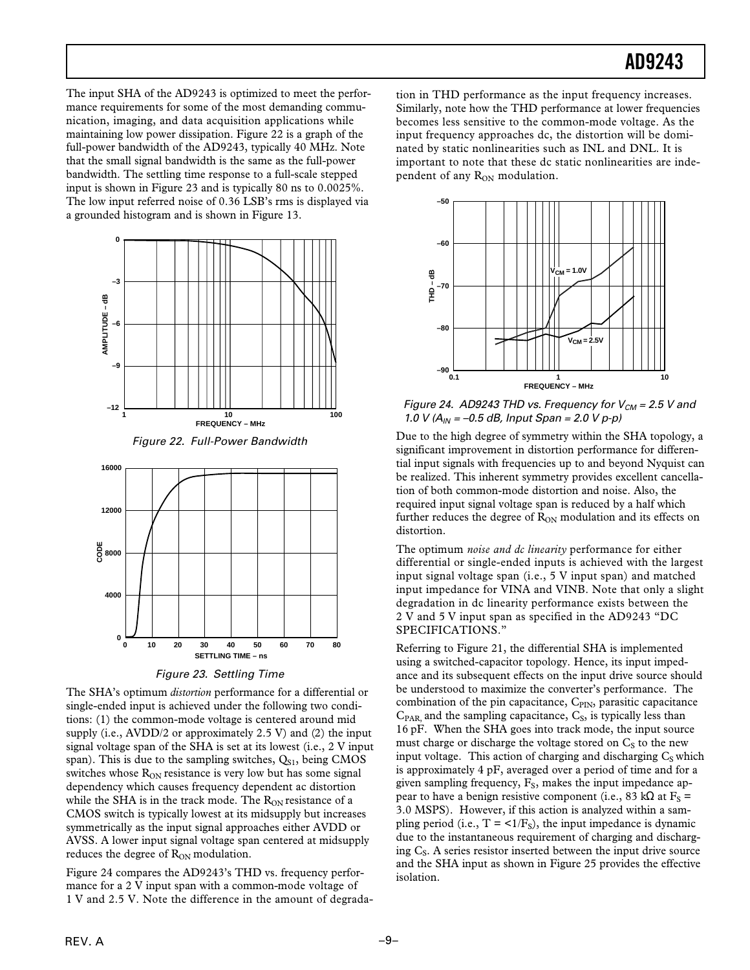The input SHA of the AD9243 is optimized to meet the performance requirements for some of the most demanding communication, imaging, and data acquisition applications while maintaining low power dissipation. Figure 22 is a graph of the full-power bandwidth of the AD9243, typically 40 MHz. Note that the small signal bandwidth is the same as the full-power bandwidth. The settling time response to a full-scale stepped input is shown in Figure 23 and is typically 80 ns to 0.0025%. The low input referred noise of 0.36 LSB's rms is displayed via a grounded histogram and is shown in Figure 13.







Figure 23. Settling Time

The SHA's optimum *distortion* performance for a differential or single-ended input is achieved under the following two conditions: (1) the common-mode voltage is centered around mid supply (i.e., AVDD/2 or approximately 2.5 V) and (2) the input signal voltage span of the SHA is set at its lowest (i.e., 2 V input span). This is due to the sampling switches,  $Q_{S1}$ , being CMOS switches whose  $R_{ON}$  resistance is very low but has some signal dependency which causes frequency dependent ac distortion while the SHA is in the track mode. The  $R_{ON}$  resistance of a CMOS switch is typically lowest at its midsupply but increases symmetrically as the input signal approaches either AVDD or AVSS. A lower input signal voltage span centered at midsupply reduces the degree of R<sub>ON</sub> modulation.

Figure 24 compares the AD9243's THD vs. frequency performance for a 2 V input span with a common-mode voltage of 1 V and 2.5 V. Note the difference in the amount of degrada-

tion in THD performance as the input frequency increases. Similarly, note how the THD performance at lower frequencies becomes less sensitive to the common-mode voltage. As the input frequency approaches dc, the distortion will be dominated by static nonlinearities such as INL and DNL. It is important to note that these dc static nonlinearities are independent of any R<sub>ON</sub> modulation.



Figure 24. AD9243 THD vs. Frequency for  $V_{CM} = 2.5$  V and 1.0 V ( $A_{IN}$  = -0.5 dB, Input Span = 2.0 V p-p)

Due to the high degree of symmetry within the SHA topology, a significant improvement in distortion performance for differential input signals with frequencies up to and beyond Nyquist can be realized. This inherent symmetry provides excellent cancellation of both common-mode distortion and noise. Also, the required input signal voltage span is reduced by a half which further reduces the degree of  $R_{ON}$  modulation and its effects on distortion.

The optimum *noise and dc linearity* performance for either differential or single-ended inputs is achieved with the largest input signal voltage span (i.e., 5 V input span) and matched input impedance for VINA and VINB. Note that only a slight degradation in dc linearity performance exists between the 2 V and 5 V input span as specified in the AD9243 "DC SPECIFICATIONS."

Referring to Figure 21, the differential SHA is implemented using a switched-capacitor topology. Hence, its input impedance and its subsequent effects on the input drive source should be understood to maximize the converter's performance. The combination of the pin capacitance,  $C_{\text{PIN}}$ , parasitic capacitance  $C<sub>PAR</sub>$  and the sampling capacitance,  $C<sub>S</sub>$ , is typically less than 16 pF. When the SHA goes into track mode, the input source must charge or discharge the voltage stored on  $C_S$  to the new input voltage. This action of charging and discharging  $C_S$  which is approximately 4 pF, averaged over a period of time and for a given sampling frequency,  $F_s$ , makes the input impedance appear to have a benign resistive component (i.e., 83 kΩ at  $F_S$  = 3.0 MSPS). However, if this action is analyzed within a sampling period (i.e.,  $T = \langle 1/F_s \rangle$ , the input impedance is dynamic due to the instantaneous requirement of charging and discharging  $C_s$ . A series resistor inserted between the input drive source and the SHA input as shown in Figure 25 provides the effective isolation.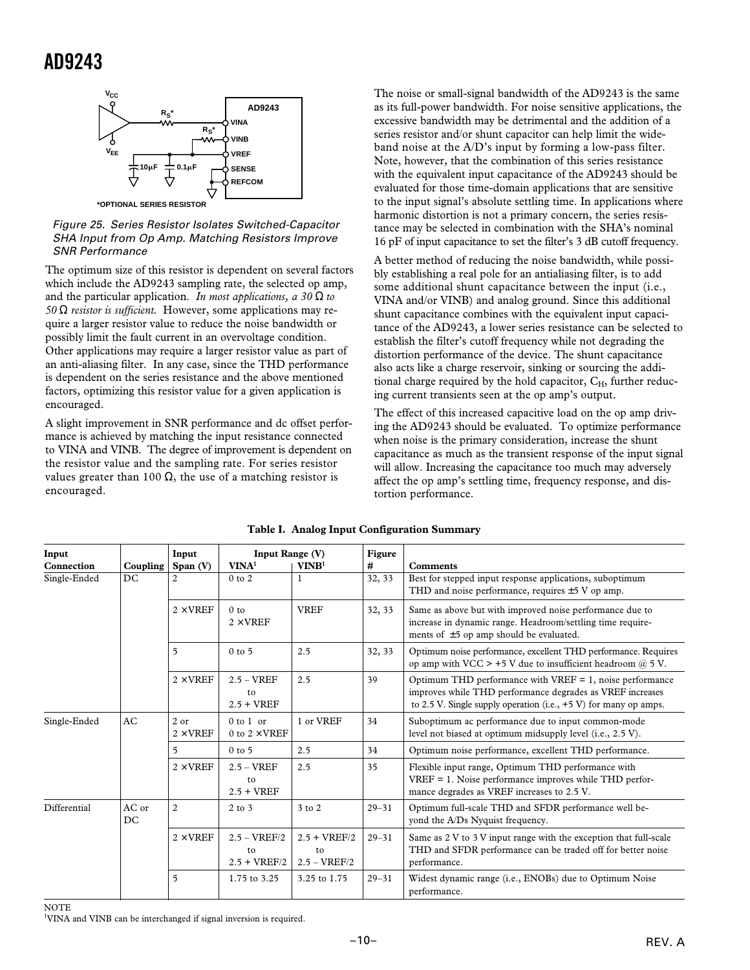

Figure 25. Series Resistor Isolates Switched-Capacitor SHA Input from Op Amp. Matching Resistors Improve SNR Performance

The optimum size of this resistor is dependent on several factors which include the AD9243 sampling rate, the selected op amp, and the particular application. *In most applications, a 30* Ω *to 50* Ω *resistor is sufficient.* However, some applications may require a larger resistor value to reduce the noise bandwidth or possibly limit the fault current in an overvoltage condition. Other applications may require a larger resistor value as part of an anti-aliasing filter. In any case, since the THD performance is dependent on the series resistance and the above mentioned factors, optimizing this resistor value for a given application is encouraged.

A slight improvement in SNR performance and dc offset performance is achieved by matching the input resistance connected to VINA and VINB. The degree of improvement is dependent on the resistor value and the sampling rate. For series resistor values greater than 100  $\Omega$ , the use of a matching resistor is encouraged.

The noise or small-signal bandwidth of the AD9243 is the same as its full-power bandwidth. For noise sensitive applications, the excessive bandwidth may be detrimental and the addition of a series resistor and/or shunt capacitor can help limit the wideband noise at the A/D's input by forming a low-pass filter. Note, however, that the combination of this series resistance with the equivalent input capacitance of the AD9243 should be evaluated for those time-domain applications that are sensitive to the input signal's absolute settling time. In applications where harmonic distortion is not a primary concern, the series resistance may be selected in combination with the SHA's nominal 16 pF of input capacitance to set the filter's 3 dB cutoff frequency.

A better method of reducing the noise bandwidth, while possibly establishing a real pole for an antialiasing filter, is to add some additional shunt capacitance between the input (i.e., VINA and/or VINB) and analog ground. Since this additional shunt capacitance combines with the equivalent input capacitance of the AD9243, a lower series resistance can be selected to establish the filter's cutoff frequency while not degrading the distortion performance of the device. The shunt capacitance also acts like a charge reservoir, sinking or sourcing the additional charge required by the hold capacitor,  $C_H$ , further reducing current transients seen at the op amp's output.

The effect of this increased capacitive load on the op amp driving the AD9243 should be evaluated. To optimize performance when noise is the primary consideration, increase the shunt capacitance as much as the transient response of the input signal will allow. Increasing the capacitance too much may adversely affect the op amp's settling time, frequency response, and distortion performance.

| Input        |             | Input                   | Input Range (V)                        |                                        | Figure    |                                                                                                                                                                                                |
|--------------|-------------|-------------------------|----------------------------------------|----------------------------------------|-----------|------------------------------------------------------------------------------------------------------------------------------------------------------------------------------------------------|
| Connection   | Coupling    | Span $(V)$              | VINA <sup>1</sup>                      | VINB <sup>1</sup>                      | #         | <b>Comments</b>                                                                                                                                                                                |
| Single-Ended | DC          | 2                       | $0$ to $2$                             | 1                                      | 32, 33    | Best for stepped input response applications, suboptimum<br>THD and noise performance, requires $\pm$ 5 V op amp.                                                                              |
|              |             | $2 \times VREF$         | 0 <sub>to</sub><br>$2 \times$ VREF     | <b>VREF</b>                            | 32, 33    | Same as above but with improved noise performance due to<br>increase in dynamic range. Headroom/settling time require-<br>ments of $\pm 5$ op amp should be evaluated.                         |
|              |             | 5                       | $0$ to $5$                             | 2.5                                    | 32, 33    | Optimum noise performance, excellent THD performance. Requires<br>op amp with VCC $> +5$ V due to insufficient headroom $(a)$ 5 V.                                                             |
|              |             | $2 \times$ VREF         | $2.5 - VREF$<br>to<br>$2.5 + VREF$     | 2.5                                    | 39        | Optimum THD performance with $VREF = 1$ , noise performance<br>improves while THD performance degrades as VREF increases<br>to 2.5 V. Single supply operation (i.e., $+5$ V) for many op amps. |
| Single-Ended | AC          | 2 or<br>$2 \times$ VREF | $0$ to $1$ or<br>0 to $2 \times$ VREF  | 1 or VREF                              | 34        | Suboptimum ac performance due to input common-mode<br>level not biased at optimum midsupply level (i.e., 2.5 V).                                                                               |
|              |             | 5                       | $0$ to $5$                             | 2.5                                    | 34        | Optimum noise performance, excellent THD performance.                                                                                                                                          |
|              |             | $2 \times$ VREF         | $2.5 - VREF$<br>to<br>$2.5 + VREF$     | 2.5                                    | 35        | Flexible input range, Optimum THD performance with<br>VREF = 1. Noise performance improves while THD perfor-<br>mance degrades as VREF increases to 2.5 V.                                     |
| Differential | AC or<br>DC | $\overline{c}$          | $2$ to $3$                             | 3 to 2                                 | $29 - 31$ | Optimum full-scale THD and SFDR performance well be-<br>yond the A/Ds Nyquist frequency.                                                                                                       |
|              |             | $2 \times$ VREF         | $2.5 - VREF/2$<br>to<br>$2.5 + VREF/2$ | $2.5 + VREF/2$<br>to<br>$2.5 - VREF/2$ | $29 - 31$ | Same as 2 V to 3 V input range with the exception that full-scale<br>THD and SFDR performance can be traded off for better noise<br>performance.                                               |
|              |             | 5                       | 1.75 to 3.25                           | 3.25 to 1.75                           | $29 - 31$ | Widest dynamic range (i.e., ENOBs) due to Optimum Noise<br>performance.                                                                                                                        |

#### **Table I. Analog Input Configuration Summary**

**NOTE** 

<sup>1</sup>VINA and VINB can be interchanged if signal inversion is required.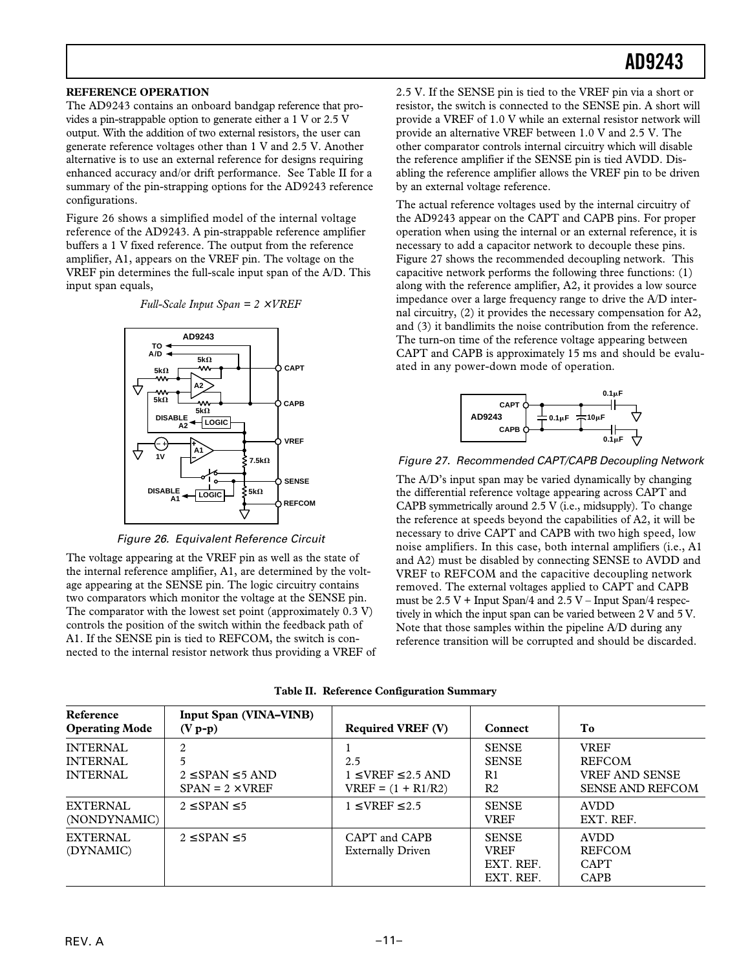#### **REFERENCE OPERATION**

The AD9243 contains an onboard bandgap reference that provides a pin-strappable option to generate either a 1 V or 2.5 V output. With the addition of two external resistors, the user can generate reference voltages other than 1 V and 2.5 V. Another alternative is to use an external reference for designs requiring enhanced accuracy and/or drift performance. See Table II for a summary of the pin-strapping options for the AD9243 reference configurations.

Figure 26 shows a simplified model of the internal voltage reference of the AD9243. A pin-strappable reference amplifier buffers a 1 V fixed reference. The output from the reference amplifier, A1, appears on the VREF pin. The voltage on the VREF pin determines the full-scale input span of the A/D. This input span equals,



*Full-Scale Input Span = 2* × *VREF*

Figure 26. Equivalent Reference Circuit

The voltage appearing at the VREF pin as well as the state of the internal reference amplifier, A1, are determined by the voltage appearing at the SENSE pin. The logic circuitry contains two comparators which monitor the voltage at the SENSE pin. The comparator with the lowest set point (approximately 0.3 V) controls the position of the switch within the feedback path of A1. If the SENSE pin is tied to REFCOM, the switch is connected to the internal resistor network thus providing a VREF of

2.5 V. If the SENSE pin is tied to the VREF pin via a short or resistor, the switch is connected to the SENSE pin. A short will provide a VREF of 1.0 V while an external resistor network will provide an alternative VREF between 1.0 V and 2.5 V. The other comparator controls internal circuitry which will disable the reference amplifier if the SENSE pin is tied AVDD. Disabling the reference amplifier allows the VREF pin to be driven by an external voltage reference.

The actual reference voltages used by the internal circuitry of the AD9243 appear on the CAPT and CAPB pins. For proper operation when using the internal or an external reference, it is necessary to add a capacitor network to decouple these pins. Figure 27 shows the recommended decoupling network. This capacitive network performs the following three functions: (1) along with the reference amplifier, A2, it provides a low source impedance over a large frequency range to drive the A/D internal circuitry, (2) it provides the necessary compensation for A2, and (3) it bandlimits the noise contribution from the reference. The turn-on time of the reference voltage appearing between CAPT and CAPB is approximately 15 ms and should be evaluated in any power-down mode of operation.



#### Figure 27. Recommended CAPT/CAPB Decoupling Network

The A/D's input span may be varied dynamically by changing the differential reference voltage appearing across CAPT and CAPB symmetrically around 2.5 V (i.e., midsupply). To change the reference at speeds beyond the capabilities of A2, it will be necessary to drive CAPT and CAPB with two high speed, low noise amplifiers. In this case, both internal amplifiers (i.e., A1 and A2) must be disabled by connecting SENSE to AVDD and VREF to REFCOM and the capacitive decoupling network removed. The external voltages applied to CAPT and CAPB must be  $2.5 V + Input Span/4$  and  $2.5 V - Input Span/4$  respectively in which the input span can be varied between 2 V and 5 V. Note that those samples within the pipeline A/D during any reference transition will be corrupted and should be discarded.

| Reference<br><b>Operating Mode</b>                    | <b>Input Span (VINA–VINB)</b><br>$(V p-p)$                                | <b>Required VREF (V)</b>                                         | <b>Connect</b>                                                   | T <sub>0</sub>                                                                   |
|-------------------------------------------------------|---------------------------------------------------------------------------|------------------------------------------------------------------|------------------------------------------------------------------|----------------------------------------------------------------------------------|
| <b>INTERNAL</b><br><b>INTERNAL</b><br><b>INTERNAL</b> | $\mathfrak{D}$<br>5<br>$2 \le$ SPAN $\le$ 5 AND<br>$SPAN = 2 \times VREF$ | 2.5<br>$1 \leq \text{VREF} \leq 2.5$ AND<br>$VREF = (1 + R1/R2)$ | <b>SENSE</b><br><b>SENSE</b><br>R <sub>1</sub><br>R <sub>2</sub> | <b>VREF</b><br><b>REFCOM</b><br><b>VREF AND SENSE</b><br><b>SENSE AND REFCOM</b> |
| <b>EXTERNAL</b><br>(NONDYNAMIC)                       | $2 \leq$ SPAN $\leq$ 5                                                    | $1 \leq$ VREF $\leq$ 2.5                                         | <b>SENSE</b><br><b>VREF</b>                                      | <b>AVDD</b><br>EXT. REF.                                                         |
| <b>EXTERNAL</b><br>(DYNAMIC)                          | $2 \leq$ SPAN $\leq$ 5                                                    | CAPT and CAPB<br><b>Externally Driven</b>                        | <b>SENSE</b><br><b>VREF</b><br>EXT. REF.<br>EXT. REF.            | <b>AVDD</b><br><b>REFCOM</b><br><b>CAPT</b><br><b>CAPB</b>                       |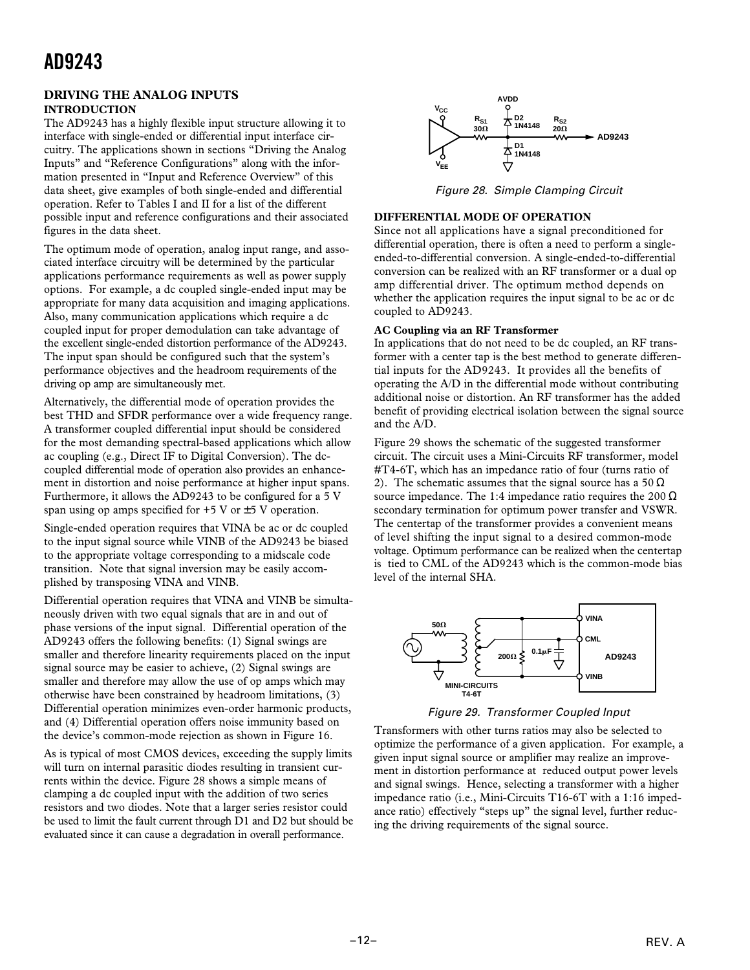#### **DRIVING THE ANALOG INPUTS INTRODUCTION**

The AD9243 has a highly flexible input structure allowing it to interface with single-ended or differential input interface circuitry. The applications shown in sections "Driving the Analog Inputs" and "Reference Configurations" along with the information presented in "Input and Reference Overview" of this data sheet, give examples of both single-ended and differential operation. Refer to Tables I and II for a list of the different possible input and reference configurations and their associated figures in the data sheet.

The optimum mode of operation, analog input range, and associated interface circuitry will be determined by the particular applications performance requirements as well as power supply options. For example, a dc coupled single-ended input may be appropriate for many data acquisition and imaging applications. Also, many communication applications which require a dc coupled input for proper demodulation can take advantage of the excellent single-ended distortion performance of the AD9243. The input span should be configured such that the system's performance objectives and the headroom requirements of the driving op amp are simultaneously met.

Alternatively, the differential mode of operation provides the best THD and SFDR performance over a wide frequency range. A transformer coupled differential input should be considered for the most demanding spectral-based applications which allow ac coupling (e.g., Direct IF to Digital Conversion). The dccoupled differential mode of operation also provides an enhancement in distortion and noise performance at higher input spans. Furthermore, it allows the AD9243 to be configured for a 5 V span using op amps specified for  $+5$  V or  $\pm 5$  V operation.

Single-ended operation requires that VINA be ac or dc coupled to the input signal source while VINB of the AD9243 be biased to the appropriate voltage corresponding to a midscale code transition. Note that signal inversion may be easily accomplished by transposing VINA and VINB.

Differential operation requires that VINA and VINB be simultaneously driven with two equal signals that are in and out of phase versions of the input signal. Differential operation of the AD9243 offers the following benefits: (1) Signal swings are smaller and therefore linearity requirements placed on the input signal source may be easier to achieve, (2) Signal swings are smaller and therefore may allow the use of op amps which may otherwise have been constrained by headroom limitations, (3) Differential operation minimizes even-order harmonic products, and (4) Differential operation offers noise immunity based on the device's common-mode rejection as shown in Figure 16.

As is typical of most CMOS devices, exceeding the supply limits will turn on internal parasitic diodes resulting in transient currents within the device. Figure 28 shows a simple means of clamping a dc coupled input with the addition of two series resistors and two diodes. Note that a larger series resistor could be used to limit the fault current through D1 and D2 but should be evaluated since it can cause a degradation in overall performance.



Figure 28. Simple Clamping Circuit

#### **DIFFERENTIAL MODE OF OPERATION**

Since not all applications have a signal preconditioned for differential operation, there is often a need to perform a singleended-to-differential conversion. A single-ended-to-differential conversion can be realized with an RF transformer or a dual op amp differential driver. The optimum method depends on whether the application requires the input signal to be ac or dc coupled to AD9243.

#### **AC Coupling via an RF Transformer**

In applications that do not need to be dc coupled, an RF transformer with a center tap is the best method to generate differential inputs for the AD9243. It provides all the benefits of operating the A/D in the differential mode without contributing additional noise or distortion. An RF transformer has the added benefit of providing electrical isolation between the signal source and the A/D.

Figure 29 shows the schematic of the suggested transformer circuit. The circuit uses a Mini-Circuits RF transformer, model #T4-6T, which has an impedance ratio of four (turns ratio of 2). The schematic assumes that the signal source has a 50  $\Omega$ source impedance. The 1:4 impedance ratio requires the  $200 \Omega$ secondary termination for optimum power transfer and VSWR. The centertap of the transformer provides a convenient means of level shifting the input signal to a desired common-mode voltage. Optimum performance can be realized when the centertap is tied to CML of the AD9243 which is the common-mode bias level of the internal SHA.



Figure 29. Transformer Coupled Input

Transformers with other turns ratios may also be selected to optimize the performance of a given application. For example, a given input signal source or amplifier may realize an improvement in distortion performance at reduced output power levels and signal swings. Hence, selecting a transformer with a higher impedance ratio (i.e., Mini-Circuits T16-6T with a 1:16 impedance ratio) effectively "steps up" the signal level, further reducing the driving requirements of the signal source.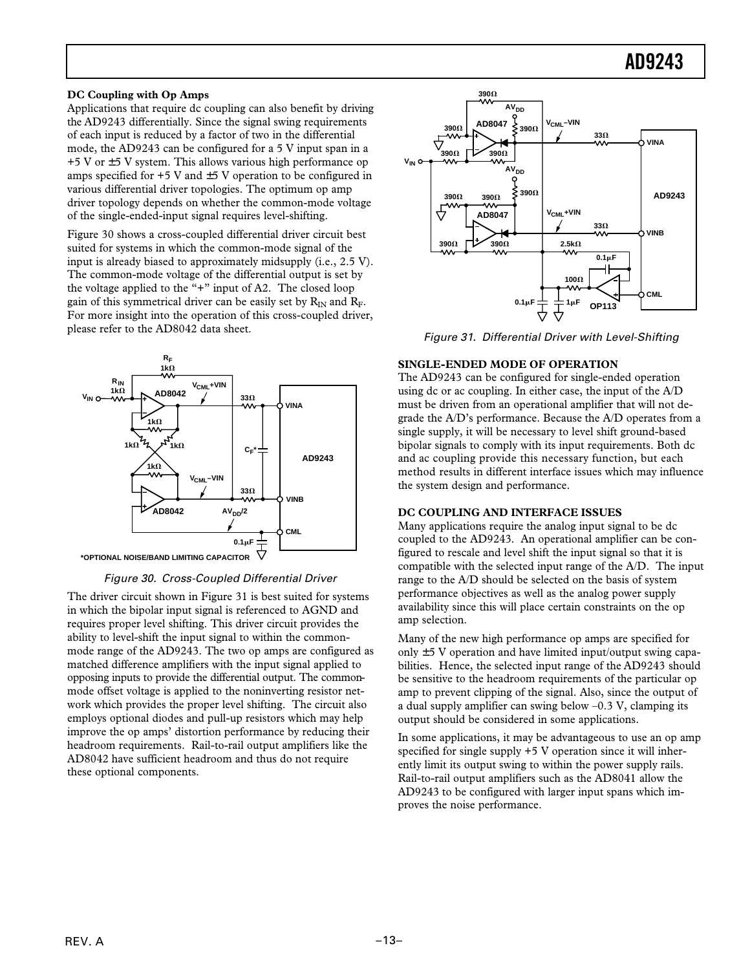#### **DC Coupling with Op Amps**

Applications that require dc coupling can also benefit by driving the AD9243 differentially. Since the signal swing requirements of each input is reduced by a factor of two in the differential mode, the AD9243 can be configured for a 5 V input span in a  $+5$  V or  $\pm$ 5 V system. This allows various high performance op amps specified for  $+5$  V and  $\pm 5$  V operation to be configured in various differential driver topologies. The optimum op amp driver topology depends on whether the common-mode voltage of the single-ended-input signal requires level-shifting.

Figure 30 shows a cross-coupled differential driver circuit best suited for systems in which the common-mode signal of the input is already biased to approximately midsupply (i.e., 2.5 V). The common-mode voltage of the differential output is set by the voltage applied to the "+" input of A2. The closed loop gain of this symmetrical driver can be easily set by  $R_{IN}$  and  $R_F$ . For more insight into the operation of this cross-coupled driver, please refer to the AD8042 data sheet.



Figure 30. Cross-Coupled Differential Driver

The driver circuit shown in Figure 31 is best suited for systems in which the bipolar input signal is referenced to AGND and requires proper level shifting. This driver circuit provides the ability to level-shift the input signal to within the commonmode range of the AD9243. The two op amps are configured as matched difference amplifiers with the input signal applied to opposing inputs to provide the differential output. The commonmode offset voltage is applied to the noninverting resistor network which provides the proper level shifting. The circuit also employs optional diodes and pull-up resistors which may help improve the op amps' distortion performance by reducing their headroom requirements. Rail-to-rail output amplifiers like the AD8042 have sufficient headroom and thus do not require these optional components.



Figure 31. Differential Driver with Level-Shifting

#### **SINGLE-ENDED MODE OF OPERATION**

The AD9243 can be configured for single-ended operation using dc or ac coupling. In either case, the input of the A/D must be driven from an operational amplifier that will not degrade the A/D's performance. Because the A/D operates from a single supply, it will be necessary to level shift ground-based bipolar signals to comply with its input requirements. Both dc and ac coupling provide this necessary function, but each method results in different interface issues which may influence the system design and performance.

#### **DC COUPLING AND INTERFACE ISSUES**

Many applications require the analog input signal to be dc coupled to the AD9243. An operational amplifier can be configured to rescale and level shift the input signal so that it is compatible with the selected input range of the A/D. The input range to the A/D should be selected on the basis of system performance objectives as well as the analog power supply availability since this will place certain constraints on the op amp selection.

Many of the new high performance op amps are specified for only  $\pm$  5 V operation and have limited input/output swing capabilities. Hence, the selected input range of the AD9243 should be sensitive to the headroom requirements of the particular op amp to prevent clipping of the signal. Also, since the output of a dual supply amplifier can swing below  $-0.3$  V, clamping its output should be considered in some applications.

In some applications, it may be advantageous to use an op amp specified for single supply +5 V operation since it will inherently limit its output swing to within the power supply rails. Rail-to-rail output amplifiers such as the AD8041 allow the AD9243 to be configured with larger input spans which improves the noise performance.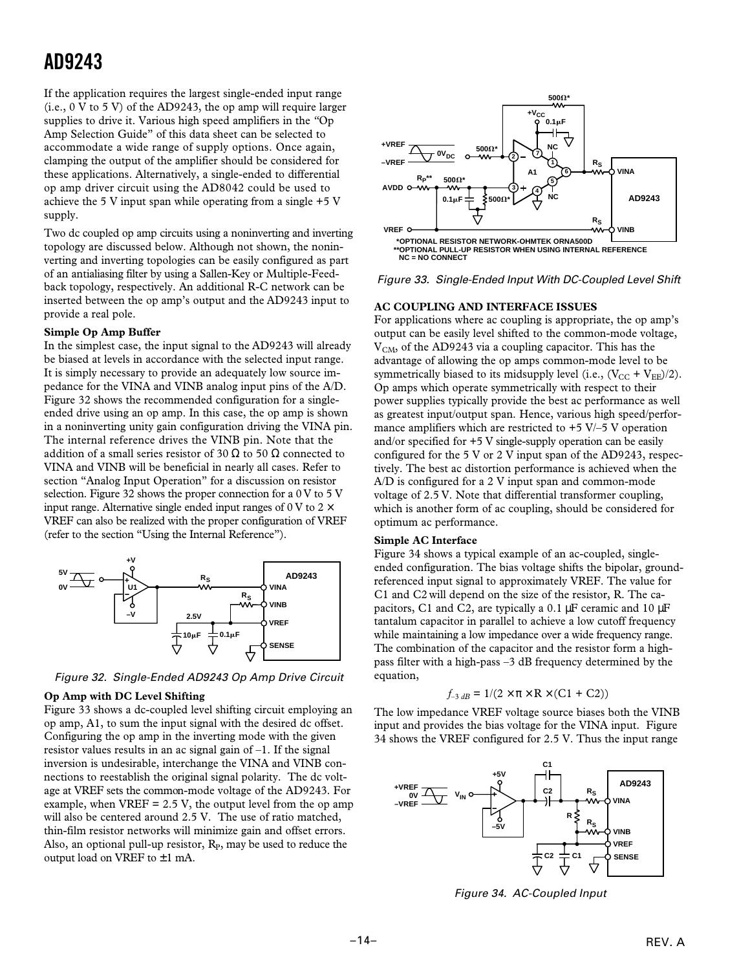If the application requires the largest single-ended input range (i.e., 0 V to 5 V) of the AD9243, the op amp will require larger supplies to drive it. Various high speed amplifiers in the *"*Op Amp Selection Guide" of this data sheet can be selected to accommodate a wide range of supply options. Once again, clamping the output of the amplifier should be considered for these applications. Alternatively, a single-ended to differential op amp driver circuit using the AD8042 could be used to achieve the 5 V input span while operating from a single +5 V supply.

Two dc coupled op amp circuits using a noninverting and inverting topology are discussed below. Although not shown, the noninverting and inverting topologies can be easily configured as part of an antialiasing filter by using a Sallen-Key or Multiple-Feedback topology, respectively. An additional R-C network can be inserted between the op amp's output and the AD9243 input to provide a real pole.

#### **Simple Op Amp Buffer**

In the simplest case, the input signal to the AD9243 will already be biased at levels in accordance with the selected input range. It is simply necessary to provide an adequately low source impedance for the VINA and VINB analog input pins of the A/D. Figure 32 shows the recommended configuration for a singleended drive using an op amp. In this case, the op amp is shown in a noninverting unity gain configuration driving the VINA pin. The internal reference drives the VINB pin. Note that the addition of a small series resistor of 30  $\Omega$  to 50  $\Omega$  connected to VINA and VINB will be beneficial in nearly all cases. Refer to section "Analog Input Operation" for a discussion on resistor selection. Figure 32 shows the proper connection for a 0 V to 5 V input range. Alternative single ended input ranges of 0 V to  $2 \times$ VREF can also be realized with the proper configuration of VREF (refer to the section "Using the Internal Reference").



Figure 32. Single-Ended AD9243 Op Amp Drive Circuit

#### **Op Amp with DC Level Shifting**

Figure 33 shows a dc-coupled level shifting circuit employing an op amp, A1, to sum the input signal with the desired dc offset. Configuring the op amp in the inverting mode with the given resistor values results in an ac signal gain of  $-1$ . If the signal inversion is undesirable, interchange the VINA and VINB connections to reestablish the original signal polarity. The dc voltage at VREF sets the common-mode voltage of the AD9243. For example, when  $VREF = 2.5 V$ , the output level from the op amp will also be centered around 2.5 V. The use of ratio matched, thin-film resistor networks will minimize gain and offset errors. Also, an optional pull-up resistor,  $R<sub>P</sub>$ , may be used to reduce the output load on VREF to  $\pm 1$  mA.





#### **AC COUPLING AND INTERFACE ISSUES**

For applications where ac coupling is appropriate, the op amp's output can be easily level shifted to the common-mode voltage,  $V<sub>CM</sub>$ , of the AD9243 via a coupling capacitor. This has the advantage of allowing the op amps common-mode level to be symmetrically biased to its midsupply level (i.e.,  $(V_{CC} + V_{EE})/2$ ). Op amps which operate symmetrically with respect to their power supplies typically provide the best ac performance as well as greatest input/output span. Hence, various high speed/performance amplifiers which are restricted to  $+5$  V/–5 V operation and/or specified for +5 V single-supply operation can be easily configured for the 5 V or 2 V input span of the AD9243, respectively. The best ac distortion performance is achieved when the A/D is configured for a 2 V input span and common-mode voltage of 2.5 V. Note that differential transformer coupling, which is another form of ac coupling, should be considered for optimum ac performance.

#### **Simple AC Interface**

Figure 34 shows a typical example of an ac-coupled, singleended configuration. The bias voltage shifts the bipolar, groundreferenced input signal to approximately VREF. The value for C1 and C2 will depend on the size of the resistor, R. The capacitors, C1 and C2, are typically a 0.1 µF ceramic and 10 µF tantalum capacitor in parallel to achieve a low cutoff frequency while maintaining a low impedance over a wide frequency range. The combination of the capacitor and the resistor form a highpass filter with a high-pass –3 dB frequency determined by the equation,

$$
f_{-3 dB} = 1/(2 \times \pi \times R \times (C1 + C2))
$$

The low impedance VREF voltage source biases both the VINB input and provides the bias voltage for the VINA input. Figure 34 shows the VREF configured for 2.5 V. Thus the input range



Figure 34. AC-Coupled Input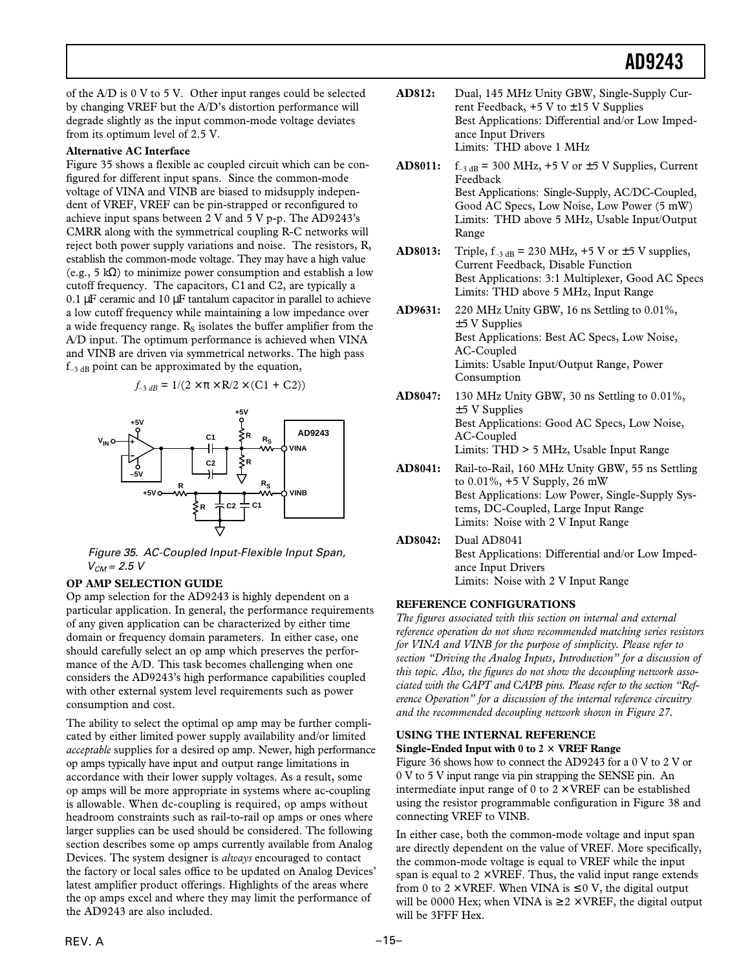of the A/D is 0 V to 5 V. Other input ranges could be selected by changing VREF but the A/D's distortion performance will degrade slightly as the input common-mode voltage deviates from its optimum level of 2.5 V.

#### **Alternative AC Interface**

Figure 35 shows a flexible ac coupled circuit which can be configured for different input spans. Since the common-mode voltage of VINA and VINB are biased to midsupply independent of VREF, VREF can be pin-strapped or reconfigured to achieve input spans between 2 V and 5 V p-p. The AD9243's CMRR along with the symmetrical coupling R-C networks will reject both power supply variations and noise. The resistors, R, establish the common-mode voltage. They may have a high value (e.g., 5 kΩ) to minimize power consumption and establish a low cutoff frequency. The capacitors, C1 and C2, are typically a  $0.1 \mu$ F ceramic and  $10 \mu$ F tantalum capacitor in parallel to achieve a low cutoff frequency while maintaining a low impedance over a wide frequency range.  $R<sub>s</sub>$  isolates the buffer amplifier from the A/D input. The optimum performance is achieved when VINA and VINB are driven via symmetrical networks. The high pass  $f_{-3 \text{ dB}}$  point can be approximated by the equation,

$$
f_{-3 dB} = 1/(2 \times \pi \times R/2 \times (C1 + C2))
$$



Figure 35. AC-Coupled Input-Flexible Input Span,  $V_{CM} = 2.5 V$ 

#### **OP AMP SELECTION GUIDE**

Op amp selection for the AD9243 is highly dependent on a particular application. In general, the performance requirements of any given application can be characterized by either time domain or frequency domain parameters. In either case, one should carefully select an op amp which preserves the performance of the A/D. This task becomes challenging when one considers the AD9243's high performance capabilities coupled with other external system level requirements such as power consumption and cost.

The ability to select the optimal op amp may be further complicated by either limited power supply availability and/or limited *acceptable* supplies for a desired op amp. Newer, high performance op amps typically have input and output range limitations in accordance with their lower supply voltages. As a result, some op amps will be more appropriate in systems where ac-coupling is allowable. When dc-coupling is required, op amps without headroom constraints such as rail-to-rail op amps or ones where larger supplies can be used should be considered. The following section describes some op amps currently available from Analog Devices. The system designer is *always* encouraged to contact the factory or local sales office to be updated on Analog Devices' latest amplifier product offerings. Highlights of the areas where the op amps excel and where they may limit the performance of the AD9243 are also included.

- **AD812:** Dual, 145 MHz Unity GBW, Single-Supply Current Feedback,  $+5$  V to  $\pm 15$  V Supplies Best Applications: Differential and/or Low Impedance Input Drivers Limits: THD above 1 MHz
- **AD8011:**  $f_{-3 \text{ dB}} = 300 \text{ MHz}$ ,  $+5 \text{ V or } \pm 5 \text{ V}$  Supplies, Current Feedback Best Applications: Single-Supply, AC/DC-Coupled, Good AC Specs, Low Noise, Low Power (5 mW) Limits: THD above 5 MHz, Usable Input/Output Range
- **AD8013:** Triple,  $f_{-3 \text{ dB}} = 230 \text{ MHz}$ ,  $+5 \text{ V or } \pm 5 \text{ V}$  supplies, Current Feedback, Disable Function Best Applications: 3:1 Multiplexer, Good AC Specs Limits: THD above 5 MHz, Input Range
- **AD9631:** 220 MHz Unity GBW, 16 ns Settling to 0.01%, ±5 V Supplies Best Applications: Best AC Specs, Low Noise, AC-Coupled Limits: Usable Input/Output Range, Power Consumption
- **AD8047:** 130 MHz Unity GBW, 30 ns Settling to 0.01%,  $±5$  V Supplies Best Applications: Good AC Specs, Low Noise, AC-Coupled Limits: THD > 5 MHz, Usable Input Range
- **AD8041:** Rail-to-Rail, 160 MHz Unity GBW, 55 ns Settling to 0.01%, +5 V Supply, 26 mW Best Applications: Low Power, Single-Supply Systems, DC-Coupled, Large Input Range Limits: Noise with 2 V Input Range
- **AD8042:** Dual AD8041 Best Applications: Differential and/or Low Impedance Input Drivers Limits: Noise with 2 V Input Range

#### **REFERENCE CONFIGURATIONS**

*The figures associated with this section on internal and external reference operation do not show recommended matching series resistors for VINA and VINB for the purpose of simplicity. Please refer to section "Driving the Analog Inputs, Introduction" for a discussion of this topic. Also, the figures do not show the decoupling network associated with the CAPT and CAPB pins. Please refer to the section "Reference Operation" for a discussion of the internal reference circuitry and the recommended decoupling network shown in Figure 27.*

### **USING THE INTERNAL REFERENCE Single-Ended Input with 0 to 2**  $\times$  **VREF Range**

Figure 36 shows how to connect the AD9243 for a 0 V to 2 V or 0 V to 5 V input range via pin strapping the SENSE pin. An intermediate input range of 0 to  $2 \times$  VREF can be established using the resistor programmable configuration in Figure 38 and connecting VREF to VINB.

In either case, both the common-mode voltage and input span are directly dependent on the value of VREF. More specifically, the common-mode voltage is equal to VREF while the input span is equal to  $2 \times VREF$ . Thus, the valid input range extends from 0 to  $2 \times$  VREF. When VINA is  $\leq 0$  V, the digital output will be 0000 Hex; when VINA is  $\geq 2 \times$  VREF, the digital output will be 3FFF Hex.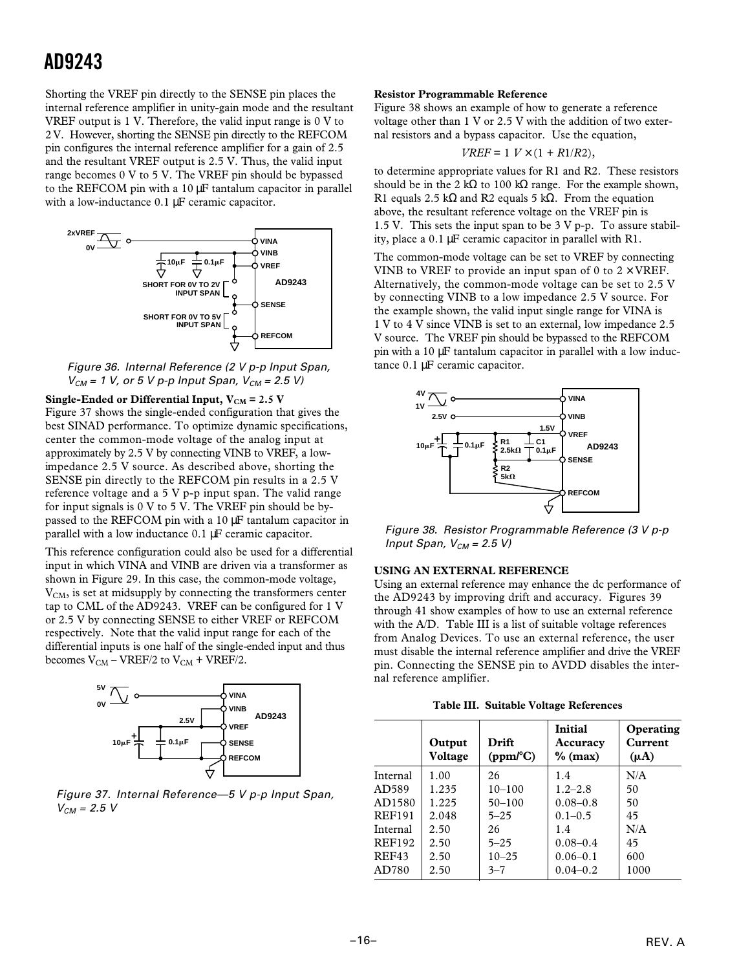Shorting the VREF pin directly to the SENSE pin places the internal reference amplifier in unity-gain mode and the resultant VREF output is 1 V. Therefore, the valid input range is 0 V to 2 V. However, shorting the SENSE pin directly to the REFCOM pin configures the internal reference amplifier for a gain of 2.5 and the resultant VREF output is 2.5 V. Thus, the valid input range becomes 0 V to 5 V. The VREF pin should be bypassed to the REFCOM pin with a 10 µF tantalum capacitor in parallel with a low-inductance 0.1 µF ceramic capacitor.



Figure 36. Internal Reference (2 V p-p Input Span,  $V_{CM}$  = 1 V, or 5 V p-p Input Span,  $V_{CM}$  = 2.5 V)

**Single-Ended or Differential Input,**  $V_{CM} = 2.5 V$ Figure 37 shows the single-ended configuration that gives the best SINAD performance. To optimize dynamic specifications, center the common-mode voltage of the analog input at approximately by 2.5 V by connecting VINB to VREF, a lowimpedance 2.5 V source. As described above, shorting the SENSE pin directly to the REFCOM pin results in a 2.5 V reference voltage and a 5 V p-p input span. The valid range for input signals is 0 V to 5 V. The VREF pin should be bypassed to the REFCOM pin with a 10 µF tantalum capacitor in parallel with a low inductance 0.1 µF ceramic capacitor.

This reference configuration could also be used for a differential input in which VINA and VINB are driven via a transformer as shown in Figure 29. In this case, the common-mode voltage, V<sub>CM</sub>, is set at midsupply by connecting the transformers center tap to CML of the AD9243. VREF can be configured for 1 V or 2.5 V by connecting SENSE to either VREF or REFCOM respectively. Note that the valid input range for each of the differential inputs is one half of the single-ended input and thus becomes  $V_{CM}$  – VREF/2 to  $V_{CM}$  + VREF/2.



Figure 37. Internal Reference—5 V p-p Input Span,  $V_{CM} = 2.5 V$ 

#### **Resistor Programmable Reference**

Figure 38 shows an example of how to generate a reference voltage other than 1 V or 2.5 V with the addition of two external resistors and a bypass capacitor. Use the equation,

$$
VREF=1\;V\times(1+R1/R2),
$$

to determine appropriate values for R1 and R2. These resistors should be in the 2 k $\Omega$  to 100 k $\Omega$  range. For the example shown, R1 equals 2.5 kΩ and R2 equals 5 kΩ. From the equation above, the resultant reference voltage on the VREF pin is 1.5 V. This sets the input span to be  $3 \nabla p$ -p. To assure stability, place a 0.1 µF ceramic capacitor in parallel with R1.

The common-mode voltage can be set to VREF by connecting VINB to VREF to provide an input span of 0 to  $2 \times$  VREF. Alternatively, the common-mode voltage can be set to 2.5 V by connecting VINB to a low impedance 2.5 V source. For the example shown, the valid input single range for VINA is 1 V to 4 V since VINB is set to an external, low impedance 2.5 V source. The VREF pin should be bypassed to the REFCOM pin with a 10 µF tantalum capacitor in parallel with a low inductance 0.1 µF ceramic capacitor.



Figure 38. Resistor Programmable Reference (3 V p-p Input Span,  $V_{CM} = 2.5 V$ )

#### **USING AN EXTERNAL REFERENCE**

Using an external reference may enhance the dc performance of the AD9243 by improving drift and accuracy. Figures 39 through 41 show examples of how to use an external reference with the A/D. Table III is a list of suitable voltage references from Analog Devices. To use an external reference, the user must disable the internal reference amplifier and drive the VREF pin. Connecting the SENSE pin to AVDD disables the internal reference amplifier.

|  |  |  | Table III. Suitable Voltage References |
|--|--|--|----------------------------------------|
|--|--|--|----------------------------------------|

|               | Output<br>Voltage | Drift<br>(ppm/C) | Initial<br>Accuracy<br>$\%$ (max) | Operating<br>Current<br>$(\mu A)$ |
|---------------|-------------------|------------------|-----------------------------------|-----------------------------------|
| Internal      | 1.00              | 26               | 1.4                               | N/A                               |
| AD589         | 1.235             | $10 - 100$       | $1.2 - 2.8$                       | 50                                |
| AD1580        | 1.225             | $50 - 100$       | $0.08 - 0.8$                      | 50                                |
| <b>REF191</b> | 2.048             | $5 - 25$         | $0.1 - 0.5$                       | 45                                |
| Internal      | 2.50              | 26               | 1.4                               | N/A                               |
| <b>REF192</b> | 2.50              | $5 - 25$         | $0.08 - 0.4$                      | 45                                |
| REF43         | 2.50              | $10 - 25$        | $0.06 - 0.1$                      | 600                               |
| AD780         | 2.50              | $3 - 7$          | $0.04 - 0.2$                      | 1000                              |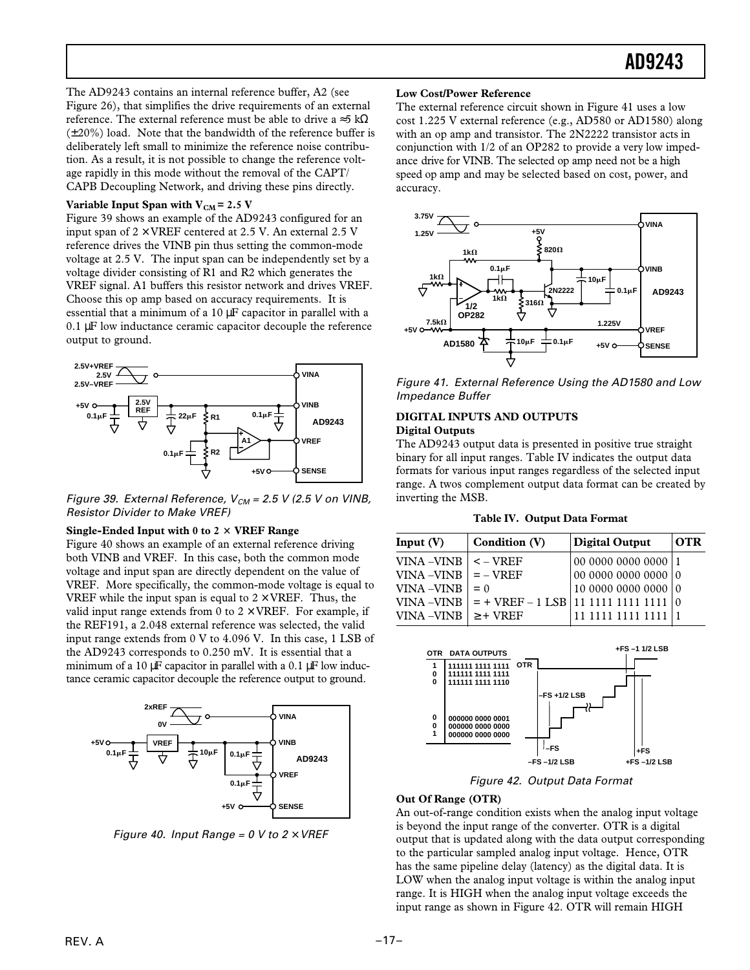The AD9243 contains an internal reference buffer, A2 (see Figure 26), that simplifies the drive requirements of an external reference. The external reference must be able to drive a ≈5 k $\Omega$  $(\pm 20\%)$  load. Note that the bandwidth of the reference buffer is deliberately left small to minimize the reference noise contribution. As a result, it is not possible to change the reference voltage rapidly in this mode without the removal of the CAPT/ CAPB Decoupling Network, and driving these pins directly.

#### Variable Input Span with  $V_{CM}$  = 2.5 V

Figure 39 shows an example of the AD9243 configured for an input span of  $2 \times$  VREF centered at 2.5 V. An external 2.5 V reference drives the VINB pin thus setting the common-mode voltage at 2.5 V. The input span can be independently set by a voltage divider consisting of R1 and R2 which generates the VREF signal. A1 buffers this resistor network and drives VREF. Choose this op amp based on accuracy requirements. It is essential that a minimum of a 10 µF capacitor in parallel with a 0.1 µF low inductance ceramic capacitor decouple the reference output to ground.



Figure 39. External Reference,  $V_{CM}$  = 2.5 V (2.5 V on VINB, Resistor Divider to Make VREF)

#### **Single-Ended Input with 0 to 2**  $\times$  **VREF Range**

Figure 40 shows an example of an external reference driving both VINB and VREF. In this case, both the common mode voltage and input span are directly dependent on the value of VREF. More specifically, the common-mode voltage is equal to VREF while the input span is equal to  $2 \times$  VREF. Thus, the valid input range extends from 0 to  $2 \times$  VREF. For example, if the REF191, a 2.048 external reference was selected, the valid input range extends from 0 V to 4.096 V. In this case, 1 LSB of the AD9243 corresponds to 0.250 mV. It is essential that a minimum of a 10  $\mu$ F capacitor in parallel with a 0.1  $\mu$ F low inductance ceramic capacitor decouple the reference output to ground.



Figure 40. Input Range = 0 V to  $2 \times$  VREF

#### **Low Cost/Power Reference**

The external reference circuit shown in Figure 41 uses a low cost 1.225 V external reference (e.g., AD580 or AD1580) along with an op amp and transistor. The 2N2222 transistor acts in conjunction with 1/2 of an OP282 to provide a very low impedance drive for VINB. The selected op amp need not be a high speed op amp and may be selected based on cost, power, and accuracy.



Figure 41. External Reference Using the AD1580 and Low Impedance Buffer

#### **DIGITAL INPUTS AND OUTPUTS Digital Outputs**

The AD9243 output data is presented in positive true straight binary for all input ranges. Table IV indicates the output data formats for various input ranges regardless of the selected input range. A twos complement output data format can be created by inverting the MSB.

|  | Table IV. Output Data Format |  |
|--|------------------------------|--|
|--|------------------------------|--|

| Input $(V)$               | Condition (V)                                       | Digital Output                     | <b>OTR</b> |
|---------------------------|-----------------------------------------------------|------------------------------------|------------|
| VINA –VINB                | $\leq$ – VREF                                       | 00 0000 0000 0000   1              |            |
| VINA $-VINB$ $=$ $-$ VREF |                                                     | $ 00\;0000\;0000\;0000\; 0\rangle$ |            |
| <b>VINA –VINB</b>         | $= 0$                                               | 1000000000000000                   |            |
|                           | VINA -VINB $ $ = + VREF - 1 LSB   11 1111 1111 1111 |                                    |            |
| VINA –VINB                | $\geq$ + VREF                                       | 1111 1111 111                      |            |



Figure 42. Output Data Format

#### **Out Of Range (OTR)**

An out-of-range condition exists when the analog input voltage is beyond the input range of the converter. OTR is a digital output that is updated along with the data output corresponding to the particular sampled analog input voltage. Hence, OTR has the same pipeline delay (latency) as the digital data. It is LOW when the analog input voltage is within the analog input range. It is HIGH when the analog input voltage exceeds the input range as shown in Figure 42. OTR will remain HIGH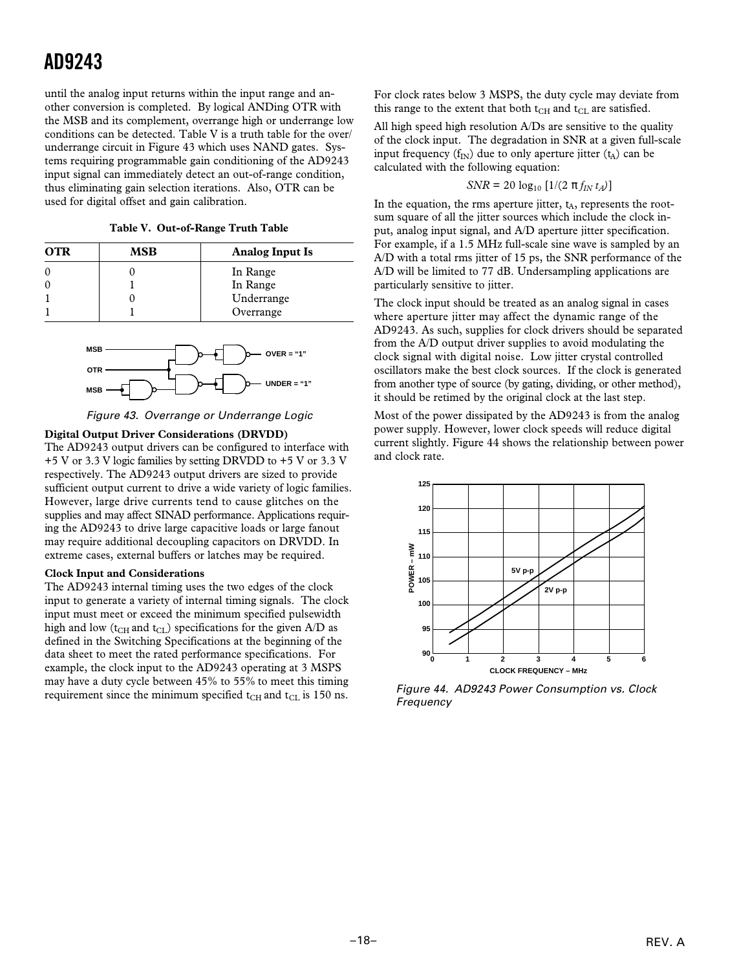until the analog input returns within the input range and another conversion is completed. By logical ANDing OTR with the MSB and its complement, overrange high or underrange low conditions can be detected. Table V is a truth table for the over/ underrange circuit in Figure 43 which uses NAND gates. Systems requiring programmable gain conditioning of the AD9243 input signal can immediately detect an out-of-range condition, thus eliminating gain selection iterations. Also, OTR can be used for digital offset and gain calibration.

**Table V. Out-of-Range Truth Table**

| <b>OTR</b> | MSB | <b>Analog Input Is</b> |
|------------|-----|------------------------|
| 0          |     | In Range               |
| C          |     | In Range               |
|            |     | Underrange             |
|            |     | Overrange              |





#### **Digital Output Driver Considerations (DRVDD)**

The AD9243 output drivers can be configured to interface with +5 V or 3.3 V logic families by setting DRVDD to +5 V or 3.3 V respectively. The AD9243 output drivers are sized to provide sufficient output current to drive a wide variety of logic families. However, large drive currents tend to cause glitches on the supplies and may affect SINAD performance. Applications requiring the AD9243 to drive large capacitive loads or large fanout may require additional decoupling capacitors on DRVDD. In extreme cases, external buffers or latches may be required.

#### **Clock Input and Considerations**

The AD9243 internal timing uses the two edges of the clock input to generate a variety of internal timing signals. The clock input must meet or exceed the minimum specified pulsewidth high and low ( $t<sub>CH</sub>$  and  $t<sub>CL</sub>$ ) specifications for the given A/D as defined in the Switching Specifications at the beginning of the data sheet to meet the rated performance specifications. For example, the clock input to the AD9243 operating at 3 MSPS may have a duty cycle between 45% to 55% to meet this timing requirement since the minimum specified  $t_{CH}$  and  $t_{CL}$  is 150 ns.

For clock rates below 3 MSPS, the duty cycle may deviate from this range to the extent that both  $t_{CH}$  and  $t_{CL}$  are satisfied.

All high speed high resolution A/Ds are sensitive to the quality of the clock input. The degradation in SNR at a given full-scale input frequency  $(f_{IN})$  due to only aperture jitter  $(t_A)$  can be calculated with the following equation:

$$
SNR = 20 \log_{10} [1/(2 \pi f_{IN} t_A)]
$$

In the equation, the rms aperture jitter,  $t_A$ , represents the rootsum square of all the jitter sources which include the clock input, analog input signal, and A/D aperture jitter specification. For example, if a 1.5 MHz full-scale sine wave is sampled by an A/D with a total rms jitter of 15 ps, the SNR performance of the A/D will be limited to 77 dB. Undersampling applications are particularly sensitive to jitter.

The clock input should be treated as an analog signal in cases where aperture jitter may affect the dynamic range of the AD9243. As such, supplies for clock drivers should be separated from the A/D output driver supplies to avoid modulating the clock signal with digital noise. Low jitter crystal controlled oscillators make the best clock sources. If the clock is generated from another type of source (by gating, dividing, or other method), it should be retimed by the original clock at the last step.

Most of the power dissipated by the AD9243 is from the analog power supply. However, lower clock speeds will reduce digital current slightly. Figure 44 shows the relationship between power and clock rate.



Figure 44. AD9243 Power Consumption vs. Clock Frequency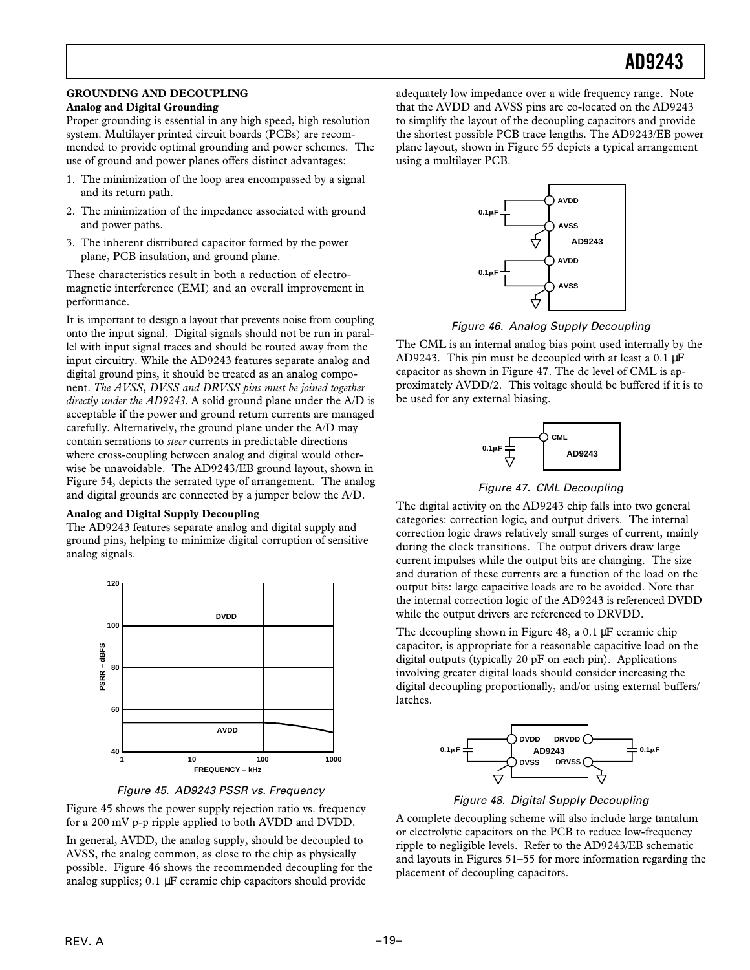#### **GROUNDING AND DECOUPLING**

#### **Analog and Digital Grounding**

Proper grounding is essential in any high speed, high resolution system. Multilayer printed circuit boards (PCBs) are recommended to provide optimal grounding and power schemes. The use of ground and power planes offers distinct advantages:

- 1. The minimization of the loop area encompassed by a signal and its return path.
- 2. The minimization of the impedance associated with ground and power paths.
- 3. The inherent distributed capacitor formed by the power plane, PCB insulation, and ground plane.

These characteristics result in both a reduction of electromagnetic interference (EMI) and an overall improvement in performance.

It is important to design a layout that prevents noise from coupling onto the input signal. Digital signals should not be run in parallel with input signal traces and should be routed away from the input circuitry. While the AD9243 features separate analog and digital ground pins, it should be treated as an analog component. *The AVSS, DVSS and DRVSS pins must be joined together directly under the AD9243*. A solid ground plane under the A/D is acceptable if the power and ground return currents are managed carefully. Alternatively, the ground plane under the A/D may contain serrations to *steer* currents in predictable directions where cross-coupling between analog and digital would otherwise be unavoidable. The AD9243/EB ground layout, shown in Figure 54, depicts the serrated type of arrangement. The analog and digital grounds are connected by a jumper below the A/D.

#### **Analog and Digital Supply Decoupling**

The AD9243 features separate analog and digital supply and ground pins, helping to minimize digital corruption of sensitive analog signals.





Figure 45 shows the power supply rejection ratio vs. frequency for a 200 mV p-p ripple applied to both AVDD and DVDD.

In general, AVDD, the analog supply, should be decoupled to AVSS, the analog common, as close to the chip as physically possible. Figure 46 shows the recommended decoupling for the analog supplies; 0.1 µF ceramic chip capacitors should provide

adequately low impedance over a wide frequency range. Note that the AVDD and AVSS pins are co-located on the AD9243 to simplify the layout of the decoupling capacitors and provide the shortest possible PCB trace lengths. The AD9243/EB power plane layout, shown in Figure 55 depicts a typical arrangement using a multilayer PCB.



Figure 46. Analog Supply Decoupling

The CML is an internal analog bias point used internally by the AD9243. This pin must be decoupled with at least a  $0.1 \mu$ F capacitor as shown in Figure 47. The dc level of CML is approximately AVDD/2. This voltage should be buffered if it is to be used for any external biasing.



Figure 47. CML Decoupling

The digital activity on the AD9243 chip falls into two general categories: correction logic, and output drivers. The internal correction logic draws relatively small surges of current, mainly during the clock transitions. The output drivers draw large current impulses while the output bits are changing. The size and duration of these currents are a function of the load on the output bits: large capacitive loads are to be avoided. Note that the internal correction logic of the AD9243 is referenced DVDD while the output drivers are referenced to DRVDD.

The decoupling shown in Figure 48, a 0.1 µF ceramic chip capacitor, is appropriate for a reasonable capacitive load on the digital outputs (typically 20 pF on each pin). Applications involving greater digital loads should consider increasing the digital decoupling proportionally, and/or using external buffers/ latches.



Figure 48. Digital Supply Decoupling

A complete decoupling scheme will also include large tantalum or electrolytic capacitors on the PCB to reduce low-frequency ripple to negligible levels. Refer to the AD9243/EB schematic and layouts in Figures 51–55 for more information regarding the placement of decoupling capacitors.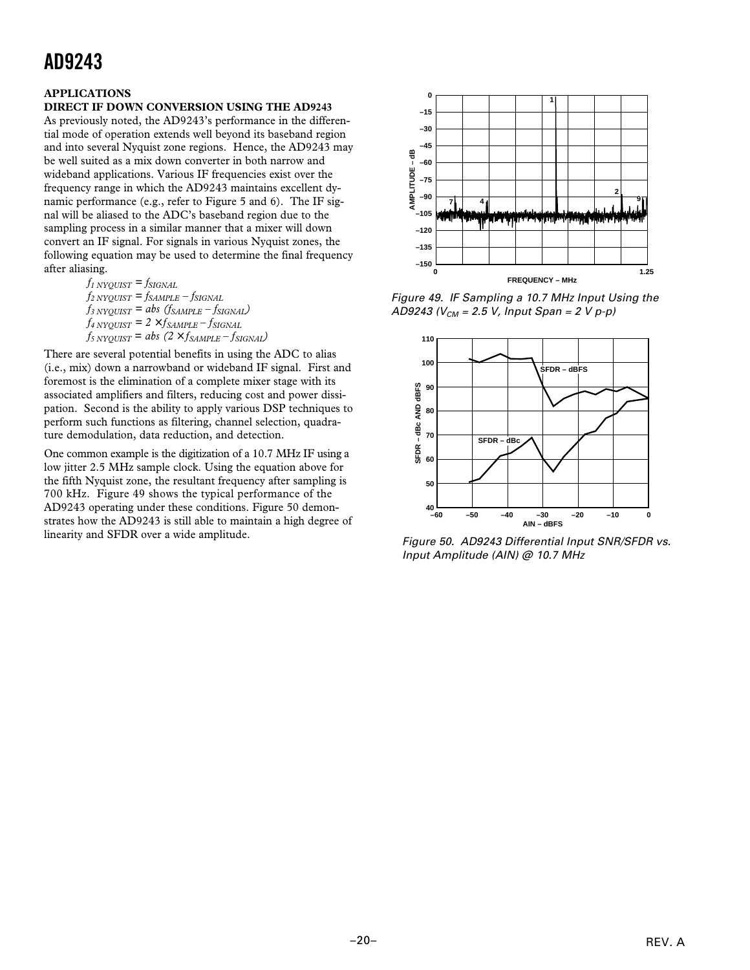#### **APPLICATIONS**

#### **DIRECT IF DOWN CONVERSION USING THE AD9243**

As previously noted, the AD9243's performance in the differential mode of operation extends well beyond its baseband region and into several Nyquist zone regions. Hence, the AD9243 may be well suited as a mix down converter in both narrow and wideband applications. Various IF frequencies exist over the frequency range in which the AD9243 maintains excellent dynamic performance (e.g., refer to Figure 5 and 6). The IF signal will be aliased to the ADC's baseband region due to the sampling process in a similar manner that a mixer will down convert an IF signal. For signals in various Nyquist zones, the following equation may be used to determine the final frequency after aliasing.

 $f_{1}$   $N$ *YQUIST* =  $f_{SIGNAL}$  $f_{2}$  NYQUIST =  $f_{SAMPLE}$  –  $f_{SIGNAL}$  $f_{3}$   $N$ *Y* $_{QUIST}$  = *abs*  $(f_{SAMPLE} - f_{SIGNAL})$  $f_{4}$  NYQUIST =  $2 \times f_{SAMPLE} - f_{SIGNAL}$  $f_{5}$  NYQUIST = abs  $(2 \times f_{SAMPLE} - f_{SIGNAL})$ 

There are several potential benefits in using the ADC to alias (i.e., mix) down a narrowband or wideband IF signal. First and foremost is the elimination of a complete mixer stage with its associated amplifiers and filters, reducing cost and power dissipation. Second is the ability to apply various DSP techniques to perform such functions as filtering, channel selection, quadrature demodulation, data reduction, and detection.

One common example is the digitization of a 10.7 MHz IF using a low jitter 2.5 MHz sample clock. Using the equation above for the fifth Nyquist zone, the resultant frequency after sampling is 700 kHz. Figure 49 shows the typical performance of the AD9243 operating under these conditions. Figure 50 demonstrates how the AD9243 is still able to maintain a high degree of linearity and SFDR over a wide amplitude.



Figure 49. IF Sampling a 10.7 MHz Input Using the AD9243 ( $V_{CM}$  = 2.5 V, Input Span = 2 V p-p)



Figure 50. AD9243 Differential Input SNR/SFDR vs. Input Amplitude (AIN) @ 10.7 MHz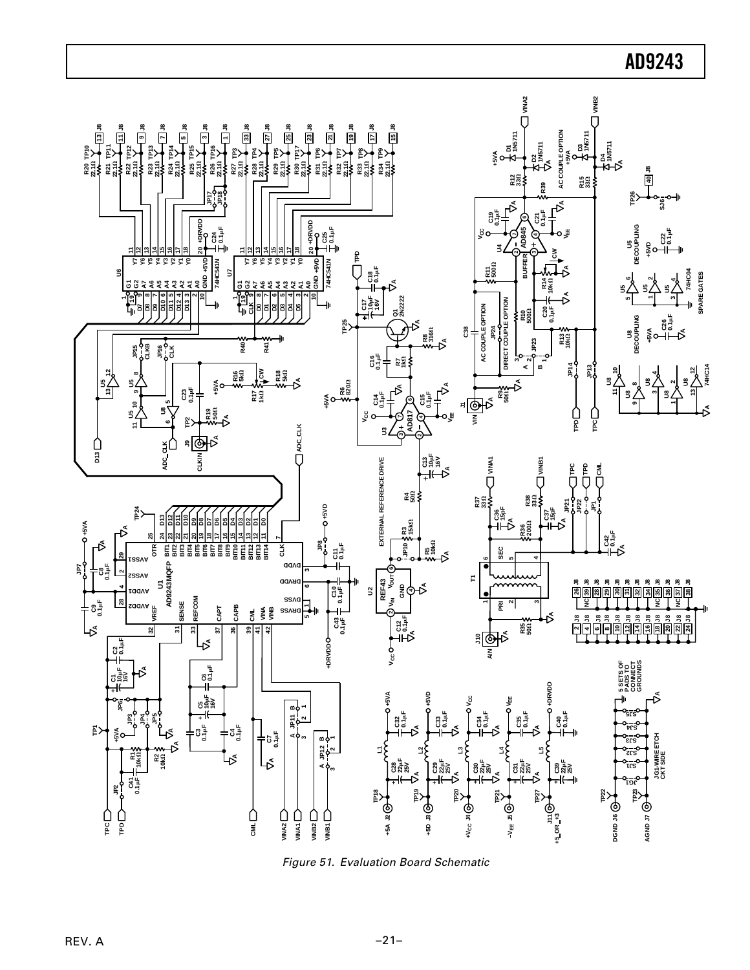

Figure 51. Evaluation Board Schematic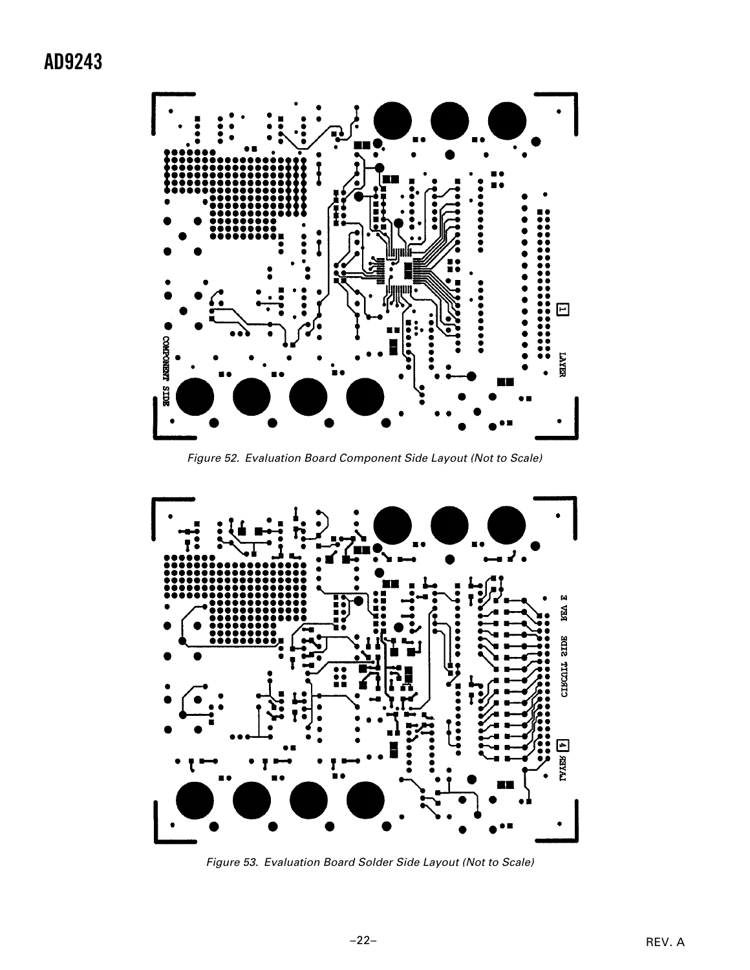

Figure 52. Evaluation Board Component Side Layout (Not to Scale)



Figure 53. Evaluation Board Solder Side Layout (Not to Scale)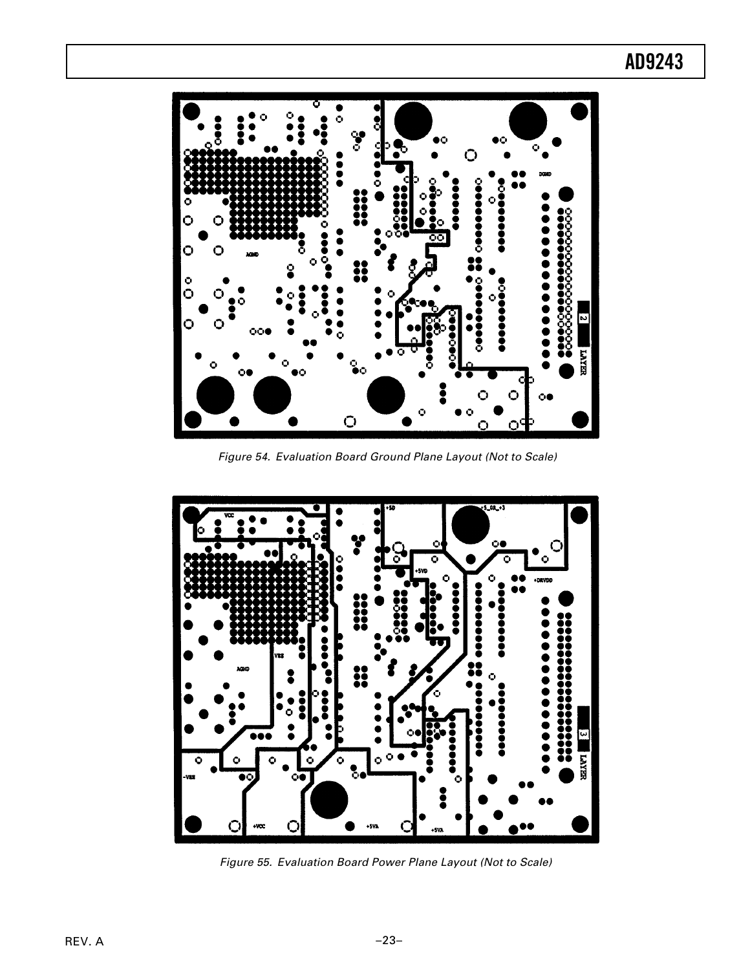# $\ddot{\mathbf{C}}$ O  $\frac{6}{9}$ 0000<br>000  $\ddot{\bullet}$ N Ó О Ō.  $\bigcirc$

Figure 54. Evaluation Board Ground Plane Layout (Not to Scale)



Figure 55. Evaluation Board Power Plane Layout (Not to Scale)

## **AD9243**